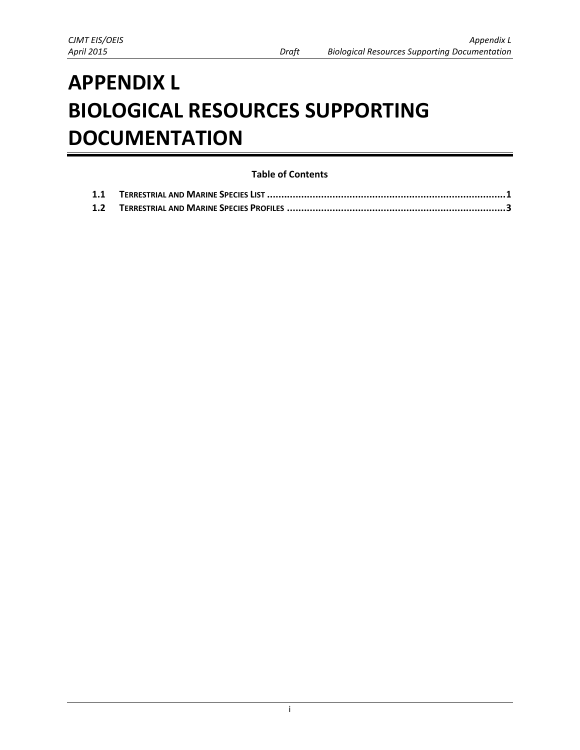# **APPENDIX L BIOLOGICAL RESOURCES SUPPORTING DOCUMENTATION**

# **Table of Contents**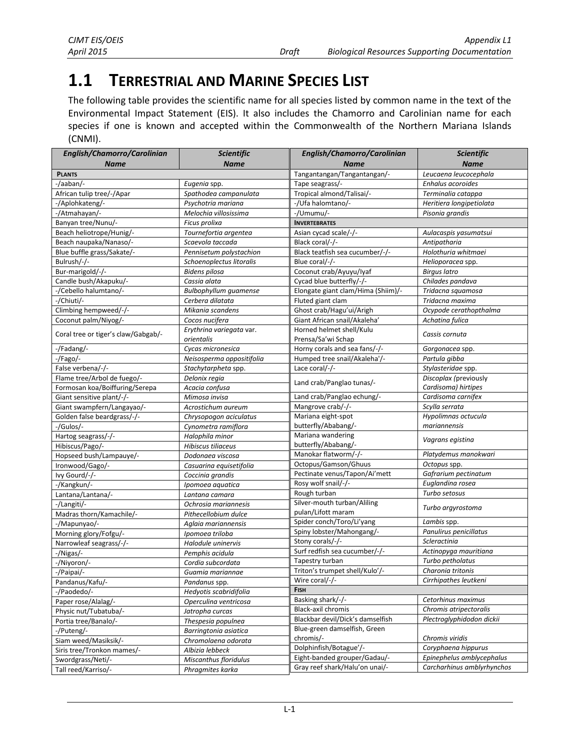# <span id="page-1-0"></span>**1.1 TERRESTRIAL AND MARINE SPECIES LIST**

The following table provides the scientific name for all species listed by common name in the text of the Environmental Impact Statement (EIS). It also includes the Chamorro and Carolinian name for each species if one is known and accepted within the Commonwealth of the Northern Mariana Islands (CNMI).

| English/Chamorro/Carolinian         | <b>Scientific</b>            | English/Chamorro/Carolinian        | Scientific                 |
|-------------------------------------|------------------------------|------------------------------------|----------------------------|
| <b>Name</b>                         | <b>Name</b>                  | <b>Name</b>                        | <b>Name</b>                |
| <b>PLANTS</b>                       |                              | Tangantangan/Tangantangan/-        | Leucaena leucocephala      |
| -/aaban/-                           | Eugenia spp.                 | Tape seagrass/-                    | Enhalus acoroides          |
| African tulip tree/-/Apar           | Spathodea campanulata        | Tropical almond/Talisai/-          | Terminalia catappa         |
| -/Aplohkateng/-                     | Psychotria mariana           | -/Ufa halomtano/-                  | Heritiera longipetiolata   |
| -/Atmahayan/-                       | Melochia villosissima        | -/Umumu/-                          | Pisonia grandis            |
| Banyan tree/Nunu/-                  | Ficus prolixa                | <b>INVERTEBRATES</b>               |                            |
| Beach heliotrope/Hunig/-            | Tournefortia argentea        | Asian cycad scale/-/-              | Aulacaspis yasumatsui      |
| Beach naupaka/Nanaso/-              | Scaevola taccada             | Black coral/-/-                    | Antipatharia               |
| Blue buffle grass/Sakate/-          | Pennisetum polystachion      | Black teatfish sea cucumber/-/-    | Holothuria whitmaei        |
| Bulrush/-/-                         | Schoenoplectus litoralis     | Blue coral/-/-                     | Helioporacea spp.          |
| Bur-marigold/-/-                    | Bidens pilosa                | Coconut crab/Ayuyu/Iyaf            | <b>Birgus latro</b>        |
| Candle bush/Akapuku/-               | Cassia alata                 | Cycad blue butterfly/-/-           | Chilades pandava           |
| -/Cebello halumtano/-               | <b>Bulbophyllum</b> guamense | Elongate giant clam/Hima (Shiim)/- | Tridacna squamosa          |
| -/Chiuti/-                          | Cerbera dilatata             | Fluted giant clam                  | Tridacna maxima            |
| Climbing hempweed/-/-               | Mikania scandens             | Ghost crab/Hagu'ui/Arigh           | Ocypode cerathopthalma     |
| Coconut palm/Niyog/-                | Cocos nucifera               | Giant African snail/Akaleha'       | Achatina fulica            |
|                                     | Erythrina variegata var.     | Horned helmet shell/Kulu           |                            |
| Coral tree or tiger's claw/Gabgab/- | orientalis                   | Prensa/Sa'wi Schap                 | Cassis cornuta             |
| -/Fadang/-                          | Cycas micronesica            | Horny corals and sea fans/-/-      | Gorgonacea spp.            |
| -/Fago/-                            | Neisosperma oppositifolia    | Humped tree snail/Akaleha'/-       | Partula gibba              |
| False verbena/-/-                   | Stachytarpheta spp.          | Lace coral/-/-                     | Stylasteridae spp.         |
| Flame tree/Arbol de fuego/-         | Delonix regia                |                                    | Discoplax (previously      |
| Formosan koa/Boiffuring/Serepa      | Acacia confusa               | Land crab/Panglao tunas/-          | Cardisoma) hirtipes        |
| Giant sensitive plant/-/-           | Mimosa invisa                | Land crab/Panglao echung/-         | Cardisoma carnifex         |
| Giant swampfern/Langayao/-          | Acrostichum aureum           | Mangrove crab/-/-                  | Scylla serrata             |
| Golden false beardgrass/-/-         | Chrysopogon aciculatus       | Mariana eight-spot                 | Hypolimnas octucula        |
| -/Gulos/-                           | Cynometra ramiflora          | butterfly/Ababang/-                | mariannensis               |
| Hartog seagrass/-/-                 | Halophila minor              | Mariana wandering                  | Vagrans egistina           |
| Hibiscus/Pago/-                     | Hibiscus tiliaceus           | butterfly/Ababang/-                |                            |
| Hopseed bush/Lampauye/-             | Dodonaea viscosa             | Manokar flatworm/-/-               | Platydemus manokwari       |
| Ironwood/Gago/-                     | Casuarina equisetifolia      | Octopus/Gamson/Ghuus               | Octopus spp.               |
| Ivy Gourd/-/-                       | Coccinia grandis             | Pectinate venus/Tapon/Ai'mett      | Gafrarium pectinatum       |
| -/Kangkun/-                         | Ipomoea aquatica             | Rosy wolf snail/-/-                | Euglandina rosea           |
| Lantana/Lantana/-                   | Lantana camara               | Rough turban                       | Turbo setosus              |
| -/Langiti/-                         | Ochrosia mariannesis         | Silver-mouth turban/Aliling        | Turbo argyrostoma          |
| Madras thorn/Kamachile/-            | Pithecellobium dulce         | pulan/Lifott maram                 |                            |
| -/Mapunyao/-                        | Aglaia mariannensis          | Spider conch/Toro/Li'yang          | Lambis spp.                |
| Morning glory/Fofgu/-               | Ipomoea triloba              | Spiny lobster/Mahongang/-          | Panulirus penicillatus     |
| Narrowleaf seagrass/-/-             | Halodule uninervis           | Stony corals/-/-                   | Scleractinia               |
| -/Nigas/-                           | Pemphis acidula              | Surf redfish sea cucumber/-/-      | Actinopyga mauritiana      |
| -/Niyoron/-                         | Cordia subcordata            | Tapestry turban                    | Turbo petholatus           |
| -/Paipai/-                          | Guamia mariannae             | Triton's trumpet shell/Kulo'/-     | Charonia tritonis          |
| Pandanus/Kafu/-                     | Pandanus spp.                | Wire coral/-/-                     | Cirrhipathes leutkeni      |
| -/Paodedo/-                         | Hedyotis scabridifolia       | <b>FISH</b>                        |                            |
| Paper rose/Alalag/-                 | Operculina ventricosa        | Basking shark/-/-                  | Cetorhinus maximus         |
| Physic nut/Tubatuba/-               | Jatropha curcas              | Black-axil chromis                 | Chromis atripectoralis     |
| Portia tree/Banalo/-                | Thespesia populnea           | Blackbar devil/Dick's damselfish   | Plectroglyphidodon dickii  |
| -/Puteng/-                          | Barringtonia asiatica        | Blue-green damselfish, Green       |                            |
| Siam weed/Masiksik/-                | Chromolaena odorata          | chromis/-                          | Chromis viridis            |
| Siris tree/Tronkon mames/-          | Albizia lebbeck              | Dolphinfish/Botague'/-             | Coryphaena hippurus        |
| Swordgrass/Neti/-                   | Miscanthus floridulus        | Eight-banded grouper/Gadau/-       | Epinephelus amblycephalus  |
| Tall reed/Karriso/-                 | Phragmites karka             | Gray reef shark/Halu'on unai/-     | Carcharhinus amblyrhynchos |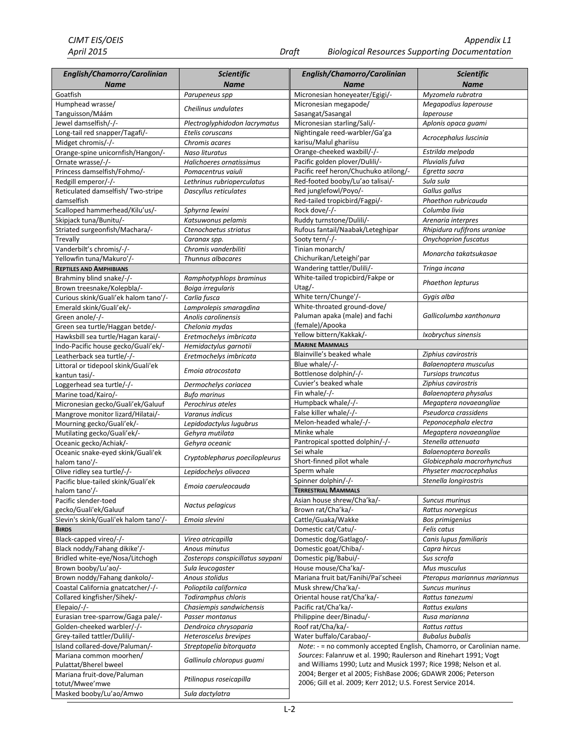| English/Chamorro/Carolinian<br><b>Name</b>                         | Scientific<br><b>Name</b>                       | English/Chamorro/Carolinian<br><b>Name</b>                            | Scientific<br><b>Name</b>         |
|--------------------------------------------------------------------|-------------------------------------------------|-----------------------------------------------------------------------|-----------------------------------|
| Goatfish                                                           | Parupeneus spp                                  | Micronesian honeyeater/Egigi/-                                        | Myzomela rubratra                 |
| Humphead wrasse/                                                   |                                                 | Micronesian megapode/                                                 | Megapodius laperouse              |
| Tanguisson/Máám                                                    | Cheilinus undulates                             | Sasangat/Sasangal                                                     | laperouse                         |
| Jewel damselfish/-/-                                               | Plectroglyphidodon lacrymatus                   | Micronesian starling/Sali/-                                           | Aplonis opaca guami               |
| Long-tail red snapper/Tagafi/-                                     | Etelis coruscans                                | Nightingale reed-warbler/Ga'ga                                        | Acrocephalus Iuscinia             |
| Midget chromis/-/-                                                 | Chromis acares                                  | karisu/Malul ghariisu                                                 |                                   |
| Orange-spine unicornfish/Hangon/-                                  | Naso lituratus                                  | Orange-cheeked waxbill/-/-                                            | Estrilda melpoda                  |
| Ornate wrasse/-/-                                                  | Halichoeres ornatissimus                        | Pacific golden plover/Dulili/-                                        | Pluvialis fulva                   |
| Princess damselfish/Fohmo/-                                        | Pomacentrus vaiuli                              | Pacific reef heron/Chuchuko atilong/-                                 | Egretta sacra                     |
| Redgill emperor/-/-                                                | Lethrinus rubrioperculatus                      | Red-footed booby/Lu'ao talisai/-                                      | Sula sula                         |
| Reticulated damselfish/Two-stripe                                  | Dascyllus reticulates                           | Red junglefowl/Poyo/-                                                 | Gallus gallus                     |
| damselfish                                                         |                                                 | Red-tailed tropicbird/Fagpi/-                                         | Phaethon rubricauda               |
| Scalloped hammerhead/Kilu'us/-                                     | Sphyrna lewini                                  | Rock dove/-/-                                                         | Columba livia                     |
| Skipjack tuna/Bunitu/-                                             | Katsuwonus pelamis                              | Ruddy turnstone/Dulili/-                                              | Arenaria interpres                |
| Striated surgeonfish/Machara/-                                     | Ctenochaetus striatus                           | Rufous fantail/Naabak/Leteghipar                                      | Rhipidura rufifrons uraniae       |
| Trevally                                                           | Caranax spp.                                    | Sooty tern/-/-                                                        | <b>Onychoprion fuscatus</b>       |
| Vanderbilt's chromis/-/-<br>Yellowfin tuna/Makuro'/-               | Chromis vanderbiliti<br>Thunnus albacares       | Tinian monarch/<br>Chichurikan/Leteighi'par                           | Monarcha takatsukasae             |
| <b>REPTILES AND AMPHIBIANS</b>                                     |                                                 | Wandering tattler/Dulili/-                                            | Tringa incana                     |
| Brahminy blind snake/-/-                                           | Ramphotyphlops braminus                         | White-tailed tropicbird/Fakpe or                                      |                                   |
| Brown treesnake/Kolepbla/-                                         | Boiga irregularis                               | Utag/-                                                                | Phaethon lepturus                 |
| Curious skink/Guali'ek halom tano'/-                               | Carlia fusca                                    | White tern/Chunge'/-                                                  | Gygis alba                        |
| Emerald skink/Guali'ek/-                                           | Lamprolepis smaragdina                          | White-throated ground-dove/                                           |                                   |
| Green anole/-/-                                                    | Anolis carolinensis                             | Paluman apaka (male) and fachi                                        | Gallicolumba xanthonura           |
| Green sea turtle/Haggan betde/-                                    | Chelonia mydas                                  | (female)/Apooka                                                       |                                   |
| Hawksbill sea turtle/Hagan karai/-                                 | Eretmochelys imbricata                          | Yellow bittern/Kakkak/-                                               | Ixobrychus sinensis               |
| Indo-Pacific house gecko/Guali'ek/-                                | Hemidactylus garnotii                           | <b>MARINE MAMMALS</b>                                                 |                                   |
| Leatherback sea turtle/-/-                                         | Eretmochelys imbricata                          | Blainville's beaked whale                                             | Ziphius cavirostris               |
| Littoral or tidepool skink/Guali'ek                                |                                                 | Blue whale/-/-                                                        | Balaenoptera musculus             |
| kantun tasi/-                                                      | Emoia atrocostata                               | Bottlenose dolphin/-/-                                                | <b>Tursiops truncatus</b>         |
| Loggerhead sea turtle/-/-                                          | Dermochelys coriacea                            | Cuvier's beaked whale                                                 | Ziphius cavirostris               |
| Marine toad/Kairo/-                                                | <b>Bufo marinus</b>                             | Fin whale/-/-                                                         | Balaenoptera physalus             |
| Micronesian gecko/Guali'ek/Galuuf                                  | Perochirus ateles                               | Humpback whale/-/-                                                    | Megaptera novaeangliae            |
| Mangrove monitor lizard/Hilatai/-                                  | Varanus indicus                                 | False killer whale/-/-                                                | Pseudorca crassidens              |
| Mourning gecko/Guali'ek/-                                          | Lepidodactylus lugubrus                         | Melon-headed whale/-/-                                                | Peponocephala electra             |
| Mutilating gecko/Guali'ek/-                                        | Gehyra mutilata                                 | Minke whale                                                           | Megaptera novaeangliae            |
| Oceanic gecko/Achiak/-                                             | Gehyra oceanic                                  | Pantropical spotted dolphin/-/-                                       | Stenella attenuata                |
| Oceanic snake-eyed skink/Guali'ek                                  |                                                 | Sei whale                                                             | Balaenoptera borealis             |
| halom tano'/-                                                      | Cryptoblepharus poecilopleurus                  | Short-finned pilot whale                                              | Globicephala macrorhynchus        |
| Olive ridley sea turtle/-/-                                        | Lepidochelys olivacea                           | Sperm whale                                                           | Physeter macrocephalus            |
| Pacific blue-tailed skink/Guali'ek                                 | Emoia caeruleocauda                             | Spinner dolphin/-/-                                                   | Stenella longirostris             |
| halom tano'/-                                                      |                                                 | <b>TERRESTRIAL MAMMALS</b>                                            |                                   |
| Pacific slender-toed                                               | Nactus pelagicus                                | Asian house shrew/Cha'ka/-                                            | Suncus murinus                    |
| gecko/Guali'ek/Galuuf                                              |                                                 | Brown rat/Cha'ka/-                                                    | Rattus norvegicus                 |
| Slevin's skink/Guali'ek halom tano'/-                              | Emoia slevini                                   | Cattle/Guaka/Wakke                                                    | Bos primigenius                   |
| <b>BIRDS</b>                                                       |                                                 | Domestic cat/Catu/-                                                   | Felis catus                       |
| Black-capped vireo/-/-                                             | Vireo atricapilla                               | Domestic dog/Gatlago/-                                                | Canis lupus familiaris            |
| Black noddy/Fahang dikike'/-                                       | Anous minutus                                   | Domestic goat/Chiba/-                                                 | Capra hircus                      |
| Bridled white-eye/Nosa/Litchogh<br>Brown booby/Lu'ao/-             | Zosterops conspicillatus saypani                | Domestic pig/Babui/-                                                  | Sus scrofa                        |
|                                                                    | Sula leucogaster                                | House mouse/Cha'ka/-<br>Mariana fruit bat/Fanihi/Pai'scheei           | Mus musculus                      |
| Brown noddy/Fahang dankolo/-<br>Coastal California gnatcatcher/-/- | Anous stolidus<br>Polioptila californica        |                                                                       | Pteropus mariannus mariannus      |
| Collared kingfisher/Sihek/-                                        |                                                 | Musk shrew/Cha'ka/-                                                   | Suncus murinus                    |
| Elepaio/-/-                                                        | Todiramphus chloris<br>Chasiempis sandwichensis | Oriental house rat/Cha'ka/-<br>Pacific rat/Cha'ka/-                   | Rattus tanezumi<br>Rattus exulans |
| Eurasian tree-sparrow/Gaga pale/-                                  | Passer montanus                                 | Philippine deer/Binadu/-                                              | Rusa marianna                     |
| Golden-cheeked warbler/-/-                                         | Dendroica chrysoparia                           | Roof rat/Cha/ka/-                                                     | Rattus rattus                     |
| Grey-tailed tattler/Dulili/-                                       | Heteroscelus brevipes                           | Water buffalo/Carabao/-                                               | <b>Bubalus bubalis</b>            |
| Island collared-dove/Paluman/-                                     | Streptopelia bitorquata                         | Note: - = no commonly accepted English, Chamorro, or Carolinian name. |                                   |
| Mariana common moorhen/                                            |                                                 | Sources: Falanruw et al. 1990; Raulerson and Rinehart 1991; Vogt      |                                   |
| Pulattat/Bherel bweel                                              | Gallinula chloropus guami                       | and Williams 1990; Lutz and Musick 1997; Rice 1998; Nelson et al.     |                                   |
| Mariana fruit-dove/Paluman                                         |                                                 | 2004; Berger et al 2005; FishBase 2006; GDAWR 2006; Peterson          |                                   |
| totut/Mwee'mwe                                                     | Ptilinopus roseicapilla                         | 2006; Gill et al. 2009; Kerr 2012; U.S. Forest Service 2014.          |                                   |
| Masked booby/Lu'ao/Amwo                                            | Sula dactylatra                                 |                                                                       |                                   |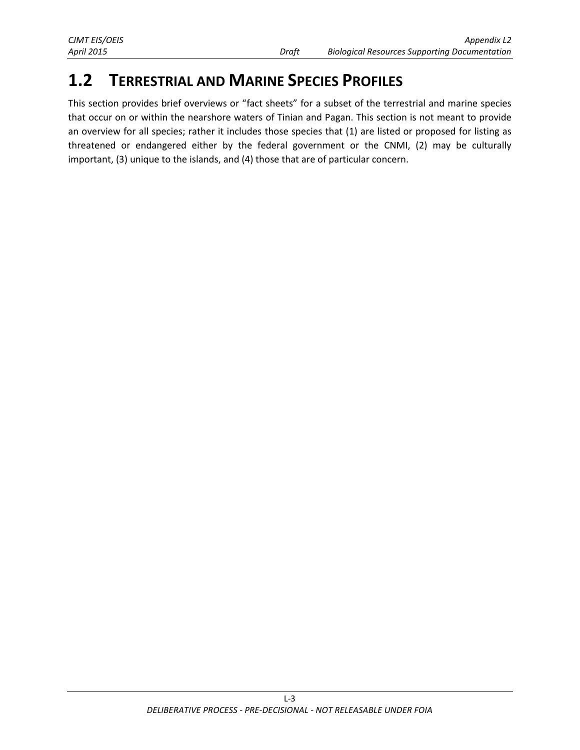# <span id="page-3-0"></span>**1.2 TERRESTRIAL AND MARINE SPECIES PROFILES**

This section provides brief overviews or "fact sheets" for a subset of the terrestrial and marine species that occur on or within the nearshore waters of Tinian and Pagan. This section is not meant to provide an overview for all species; rather it includes those species that (1) are listed or proposed for listing as threatened or endangered either by the federal government or the CNMI, (2) may be culturally important, (3) unique to the islands, and (4) those that are of particular concern.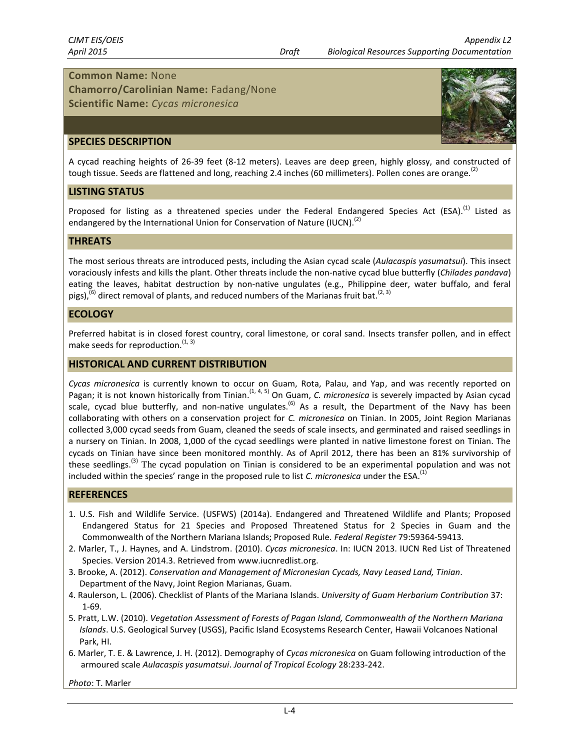**Chamorro/Carolinian Name:** Fadang/None **Scientific Name:** *Cycas micronesica*



A cycad reaching heights of 26-39 feet (8-12 meters). Leaves are deep green, highly glossy, and constructed of tough tissue. Seeds are flattened and long, reaching 2.4 inches (60 millimeters). Pollen cones are orange.<sup>(2)</sup>

#### **LISTING STATUS**

Proposed for listing as a threatened species under the Federal Endangered Species Act (ESA).<sup>(1)</sup> Listed as endangered by the International Union for Conservation of Nature (IUCN).<sup>(2)</sup>

#### **THREATS**

The most serious threats are introduced pests, including the Asian cycad scale (*Aulacaspis yasumatsui*). This insect voraciously infests and kills the plant. Other threats include the non-native cycad blue butterfly (*Chilades pandava*) eating the leaves, habitat destruction by non-native ungulates (e.g., Philippine deer, water buffalo, and feral pigs),<sup>(6)</sup> direct removal of plants, and reduced numbers of the Marianas fruit bat.<sup>(2, 3)</sup>

#### **ECOLOGY**

Preferred habitat is in closed forest country, coral limestone, or coral sand. Insects transfer pollen, and in effect make seeds for reproduction.  $(1, 3)$ 

#### **HISTORICAL AND CURRENT DISTRIBUTION**

*Cycas micronesica* is currently known to occur on Guam, Rota, Palau, and Yap, and was recently reported on Pagan; it is not known historically from Tinian.<sup>(1, 4, 5)</sup> On Guam, *C. micronesica* is severely impacted by Asian cycad scale, cycad blue butterfly, and non-native ungulates.<sup>(6)</sup> As a result, the Department of the Navy has been collaborating with others on a conservation project for *C. micronesica* on Tinian. In 2005, Joint Region Marianas collected 3,000 cycad seeds from Guam, cleaned the seeds of scale insects, and germinated and raised seedlings in a nursery on Tinian. In 2008, 1,000 of the cycad seedlings were planted in native limestone forest on Tinian. The cycads on Tinian have since been monitored monthly. As of April 2012, there has been an 81% survivorship of these seedlings.<sup>(3)</sup> The cycad population on Tinian is considered to be an experimental population and was not included within the species' range in the proposed rule to list *C. micronesica* under the ESA. (1)

#### **REFERENCES**

- 1. U.S. Fish and Wildlife Service. (USFWS) (2014a). Endangered and Threatened Wildlife and Plants; Proposed Endangered Status for 21 Species and Proposed Threatened Status for 2 Species in Guam and the Commonwealth of the Northern Mariana Islands; Proposed Rule. *Federal Register* 79:59364-59413.
- 2. Marler, T., J. Haynes, and A. Lindstrom. (2010). *Cycas micronesica*. In: IUCN 2013. IUCN Red List of Threatened Species. Version 2014.3. Retrieved from www.iucnredlist.org.
- 3. Brooke, A. (2012). *Conservation and Management of Micronesian Cycads, Navy Leased Land, Tinian*. Department of the Navy, Joint Region Marianas, Guam.
- 4. Raulerson, L. (2006). Checklist of Plants of the Mariana Islands. *University of Guam Herbarium Contribution* 37: 1-69.
- 5. Pratt, L.W. (2010). *Vegetation Assessment of Forests of Pagan Island, Commonwealth of the Northern Mariana Islands*. U.S. Geological Survey (USGS), Pacific Island Ecosystems Research Center, Hawaii Volcanoes National Park, HI.
- 6. Marler, T. E. & Lawrence, J. H. (2012). Demography of *Cycas micronesica* on Guam following introduction of the armoured scale *Aulacaspis yasumatsui*. *Journal of Tropical Ecology* 28:233-242.

*Photo*: T. Marler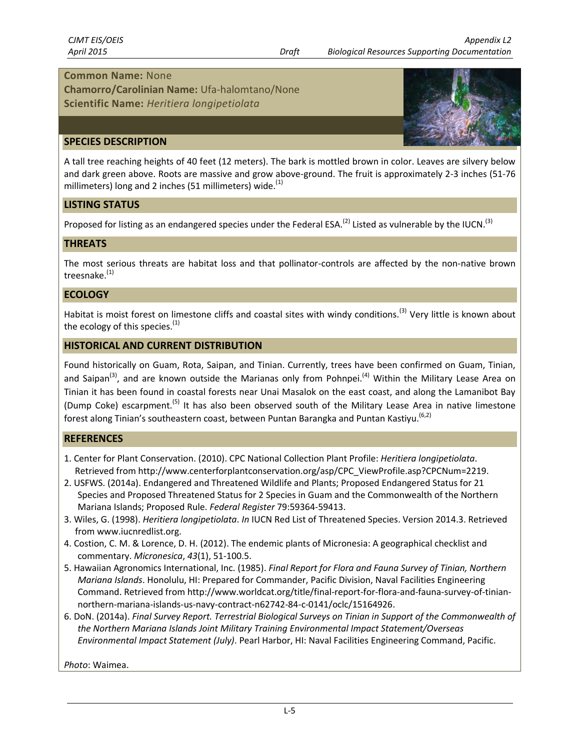**Chamorro/Carolinian Name:** Ufa-halomtano/None **Scientific Name:** *Heritiera longipetiolata*



#### **SPECIES DESCRIPTION**

A tall tree reaching heights of 40 feet (12 meters). The bark is mottled brown in color. Leaves are silvery below and dark green above. Roots are massive and grow above-ground. The fruit is approximately 2-3 inches (51-76 millimeters) long and 2 inches (51 millimeters) wide. $<sup>(1)</sup>$ </sup>

#### **LISTING STATUS**

Proposed for listing as an endangered species under the Federal ESA.<sup>(2)</sup> Listed as vulnerable by the IUCN.<sup>(3)</sup>

#### **THREATS**

The most serious threats are habitat loss and that pollinator-controls are affected by the non-native brown treesnake.<sup>(1)</sup>

#### **ECOLOGY**

Habitat is moist forest on limestone cliffs and coastal sites with windy conditions.<sup>(3)</sup> Very little is known about the ecology of this species. $(1)$ 

#### **HISTORICAL AND CURRENT DISTRIBUTION**

Found historically on Guam, Rota, Saipan, and Tinian. Currently, trees have been confirmed on Guam, Tinian, and Saipan<sup>(3)</sup>, and are known outside the Marianas only from Pohnpei.<sup>(4)</sup> Within the Military Lease Area on Tinian it has been found in coastal forests near Unai Masalok on the east coast, and along the Lamanibot Bay (Dump Coke) escarpment.<sup>(5)</sup> It has also been observed south of the Military Lease Area in native limestone forest along Tinian's southeastern coast, between Puntan Barangka and Puntan Kastiyu.<sup>(6,2)</sup>

#### **REFERENCES**

- 1. Center for Plant Conservation. (2010). CPC National Collection Plant Profile: *Heritiera longipetiolata*. Retrieved from http://www.centerforplantconservation.org/asp/CPC\_ViewProfile.asp?CPCNum=2219.
- 2. USFWS. (2014a). Endangered and Threatened Wildlife and Plants; Proposed Endangered Status for 21 Species and Proposed Threatened Status for 2 Species in Guam and the Commonwealth of the Northern Mariana Islands; Proposed Rule. *Federal Register* 79:59364-59413.
- 3. Wiles, G. (1998). *Heritiera longipetiolata*. *In* IUCN Red List of Threatened Species. Version 2014.3. Retrieved from www.iucnredlist.org.
- 4. Costion, C. M. & Lorence, D. H. (2012). The endemic plants of Micronesia: A geographical checklist and commentary. *Micronesica*, *43*(1), 51-100.5.
- 5. Hawaiian Agronomics International, Inc. (1985). *Final Report for Flora and Fauna Survey of Tinian, Northern Mariana Islands*. Honolulu, HI: Prepared for Commander, Pacific Division, Naval Facilities Engineering Command. Retrieved from http://www.worldcat.org/title/final-report-for-flora-and-fauna-survey-of-tiniannorthern-mariana-islands-us-navy-contract-n62742-84-c-0141/oclc/15164926.
- 6. DoN. (2014a). *Final Survey Report. Terrestrial Biological Surveys on Tinian in Support of the Commonwealth of the Northern Mariana Islands Joint Military Training Environmental Impact Statement/Overseas Environmental Impact Statement (July)*. Pearl Harbor, HI: Naval Facilities Engineering Command, Pacific.

*Photo*: Waimea.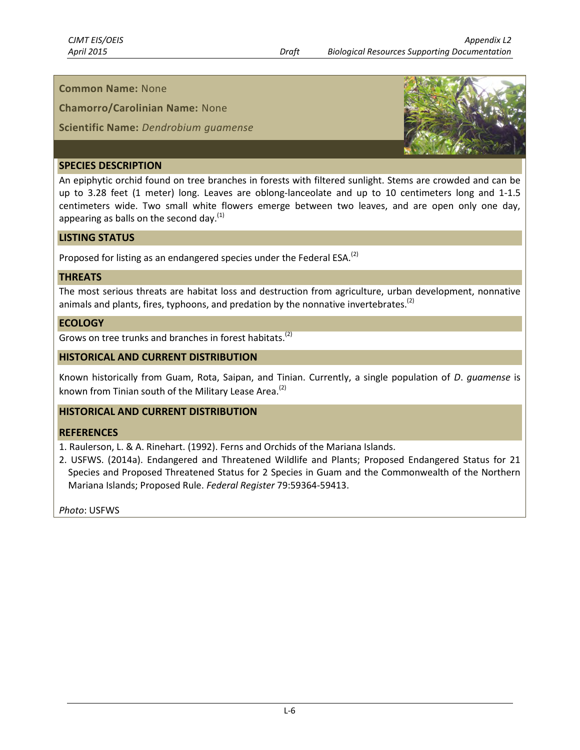**Chamorro/Carolinian Name:** None

**Scientific Name:** *Dendrobium guamense*



#### **SPECIES DESCRIPTION**

An epiphytic orchid found on tree branches in forests with filtered sunlight. Stems are crowded and can be up to 3.28 feet (1 meter) long. Leaves are oblong-lanceolate and up to 10 centimeters long and 1-1.5 centimeters wide. Two small white flowers emerge between two leaves, and are open only one day, appearing as balls on the second day. $<sup>(1)</sup>$ </sup>

#### **LISTING STATUS**

Proposed for listing as an endangered species under the Federal ESA.<sup>(2)</sup>

#### **THREATS**

The most serious threats are habitat loss and destruction from agriculture, urban development, nonnative animals and plants, fires, typhoons, and predation by the nonnative invertebrates.<sup>(2)</sup>

### **ECOLOGY**

Grows on tree trunks and branches in forest habitats.<sup>(2)</sup>

### **HISTORICAL AND CURRENT DISTRIBUTION**

Known historically from Guam, Rota, Saipan, and Tinian. Currently, a single population of *D*. *guamense* is known from Tinian south of the Military Lease Area.<sup>(2)</sup>

# **HISTORICAL AND CURRENT DISTRIBUTION**

#### **REFERENCES**

1. Raulerson, L. & A. Rinehart. (1992). Ferns and Orchids of the Mariana Islands.

2. USFWS. (2014a). Endangered and Threatened Wildlife and Plants; Proposed Endangered Status for 21 Species and Proposed Threatened Status for 2 Species in Guam and the Commonwealth of the Northern Mariana Islands; Proposed Rule. *Federal Register* 79:59364-59413.

*Photo*: USFWS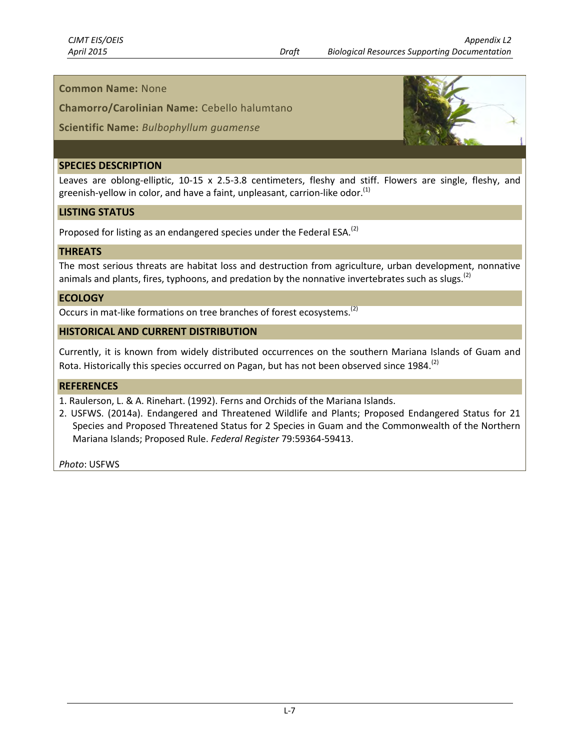**Chamorro/Carolinian Name:** Cebello halumtano

**Scientific Name:** *Bulbophyllum guamense*

#### **SPECIES DESCRIPTION**

Leaves are oblong-elliptic, 10-15 x 2.5-3.8 centimeters, fleshy and stiff. Flowers are single, fleshy, and greenish-yellow in color, and have a faint, unpleasant, carrion-like odor.<sup>(1)</sup>

#### **LISTING STATUS**

Proposed for listing as an endangered species under the Federal ESA.<sup>(2)</sup>

#### **THREATS**

The most serious threats are habitat loss and destruction from agriculture, urban development, nonnative animals and plants, fires, typhoons, and predation by the nonnative invertebrates such as slugs.<sup>(2)</sup>

#### **ECOLOGY**

Occurs in mat-like formations on tree branches of forest ecosystems.<sup>(2)</sup>

#### **HISTORICAL AND CURRENT DISTRIBUTION**

Currently, it is known from widely distributed occurrences on the southern Mariana Islands of Guam and Rota. Historically this species occurred on Pagan, but has not been observed since 1984.<sup>(2)</sup>

#### **REFERENCES**

1. Raulerson, L. & A. Rinehart. (1992). Ferns and Orchids of the Mariana Islands.

2. USFWS. (2014a). Endangered and Threatened Wildlife and Plants; Proposed Endangered Status for 21 Species and Proposed Threatened Status for 2 Species in Guam and the Commonwealth of the Northern Mariana Islands; Proposed Rule. *Federal Register* 79:59364-59413.

*Photo*: USFWS

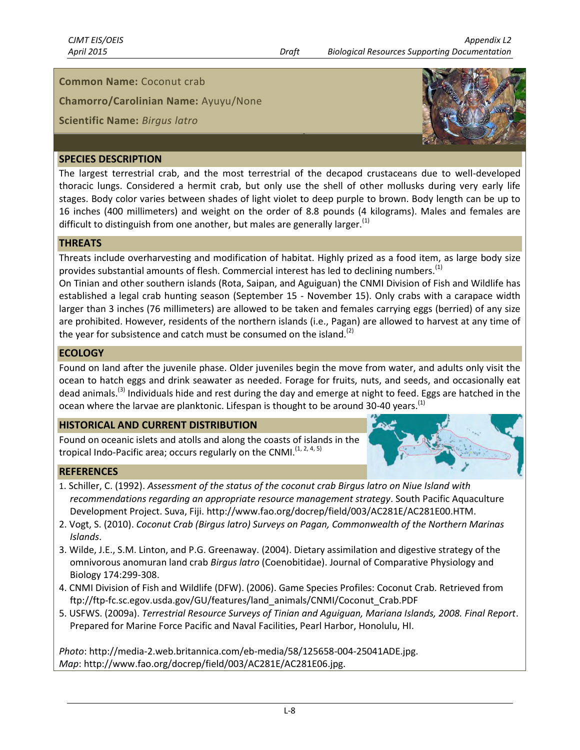#### **Common Name:** Coconut crab

**Chamorro/Carolinian Name:** Ayuyu/None

#### **Scientific Name:** *Birgus latro*

# **SPECIES DESCRIPTION**

The largest terrestrial crab, and the most terrestrial of the decapod crustaceans due to well-developed thoracic lungs. Considered a hermit crab, but only use the shell of other mollusks during very early life stages. Body color varies between shades of light violet to deep purple to brown. Body length can be up to 16 inches (400 millimeters) and weight on the order of 8.8 pounds (4 kilograms). Males and females are difficult to distinguish from one another, but males are generally larger.<sup>(1)</sup>

#### **THREATS**

Threats include overharvesting and modification of habitat. Highly prized as a food item, as large body size provides substantial amounts of flesh. Commercial interest has led to declining numbers.<sup>(1)</sup>

On Tinian and other southern islands (Rota, Saipan, and Aguiguan) the CNMI Division of Fish and Wildlife has established a legal crab hunting season (September 15 - November 15). Only crabs with a carapace width larger than 3 inches (76 millimeters) are allowed to be taken and females carrying eggs (berried) of any size are prohibited. However, residents of the northern islands (i.e., Pagan) are allowed to harvest at any time of the year for subsistence and catch must be consumed on the island.<sup>(2)</sup>

#### **ECOLOGY**

Found on land after the juvenile phase. Older juveniles begin the move from water, and adults only visit the ocean to hatch eggs and drink seawater as needed. Forage for fruits, nuts, and seeds, and occasionally eat dead animals.<sup>(3)</sup> Individuals hide and rest during the day and emerge at night to feed. Eggs are hatched in the ocean where the larvae are planktonic. Lifespan is thought to be around 30-40 years.<sup>(1)</sup>

#### **HISTORICAL AND CURRENT DISTRIBUTION**

Found on oceanic islets and atolls and along the coasts of islands in the tropical Indo-Pacific area; occurs regularly on the CNMI.<sup>(1, 2, 4, 5)</sup>

#### **REFERENCES**

- Ear
- 1. Schiller, C. (1992). *Assessment of the status of the coconut crab Birgus latro on Niue Island with recommendations regarding an appropriate resource management strategy*. South Pacific Aquaculture Development Project. Suva, Fiji. http://www.fao.org/docrep/field/003/AC281E/AC281E00.HTM.
- 2. Vogt, S. (2010). *Coconut Crab (Birgus latro) Surveys on Pagan, Commonwealth of the Northern Marinas Islands*.
- 3. Wilde, J.E., S.M. Linton, and P.G. Greenaway. (2004). Dietary assimilation and digestive strategy of the omnivorous anomuran land crab *Birgus latro* (Coenobitidae). Journal of Comparative Physiology and Biology 174:299-308.
- 4. CNMI Division of Fish and Wildlife (DFW). (2006). Game Species Profiles: Coconut Crab. Retrieved from ftp://ftp-fc.sc.egov.usda.gov/GU/features/land\_animals/CNMI/Coconut\_Crab.PDF
- 5. USFWS. (2009a). *Terrestrial Resource Surveys of Tinian and Aguiguan, Mariana Islands, 2008. Final Report*. Prepared for Marine Force Pacific and Naval Facilities, Pearl Harbor, Honolulu, HI.

*Photo*: http://media-2.web.britannica.com/eb-media/58/125658-004-25041ADE.jpg. *Map*: http://www.fao.org/docrep/field/003/AC281E/AC281E06.jpg.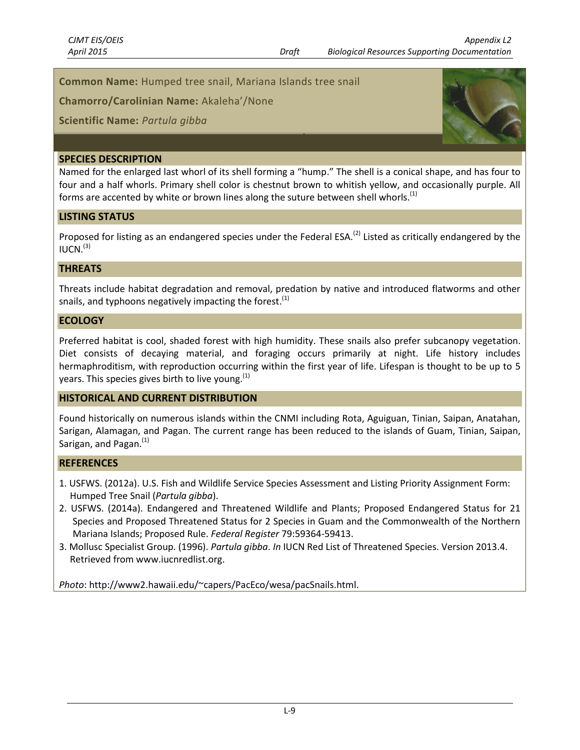**Common Name:** Humped tree snail, Mariana Islands tree snail

**Chamorro/Carolinian Name:** Akaleha'/None

**Scientific Name:** *Partula gibba*

#### **SPECIES DESCRIPTION**

Named for the enlarged last whorl of its shell forming a "hump." The shell is a conical shape, and has four to four and a half whorls. Primary shell color is chestnut brown to whitish yellow, and occasionally purple. All forms are accented by white or brown lines along the suture between shell whorls.<sup>(1)</sup>

#### **LISTING STATUS**

Proposed for listing as an endangered species under the Federal ESA.<sup>(2)</sup> Listed as critically endangered by the  $IUCN.<sup>(3)</sup>$ 

#### **THREATS**

Threats include habitat degradation and removal, predation by native and introduced flatworms and other snails, and typhoons negatively impacting the forest. $(1)$ 

#### **ECOLOGY**

Preferred habitat is cool, shaded forest with high humidity. These snails also prefer subcanopy vegetation. Diet consists of decaying material, and foraging occurs primarily at night. Life history includes hermaphroditism, with reproduction occurring within the first year of life. Lifespan is thought to be up to 5 years. This species gives birth to live young. $^{(1)}$ 

#### **HISTORICAL AND CURRENT DISTRIBUTION**

Found historically on numerous islands within the CNMI including Rota, Aguiguan, Tinian, Saipan, Anatahan, Sarigan, Alamagan, and Pagan. The current range has been reduced to the islands of Guam, Tinian, Saipan, Sarigan, and Pagan.<sup>(1)</sup>

#### **REFERENCES**

- 1. USFWS. (2012a). U.S. Fish and Wildlife Service Species Assessment and Listing Priority Assignment Form: Humped Tree Snail (*Partula gibba*).
- 2. USFWS. (2014a). Endangered and Threatened Wildlife and Plants; Proposed Endangered Status for 21 Species and Proposed Threatened Status for 2 Species in Guam and the Commonwealth of the Northern Mariana Islands; Proposed Rule. *Federal Register* 79:59364-59413.
- 3. Mollusc Specialist Group. (1996). *Partula gibba*. *In* IUCN Red List of Threatened Species. Version 2013.4. Retrieved from www.iucnredlist.org.

*Photo*: http://www2.hawaii.edu/~capers/PacEco/wesa/pacSnails.html.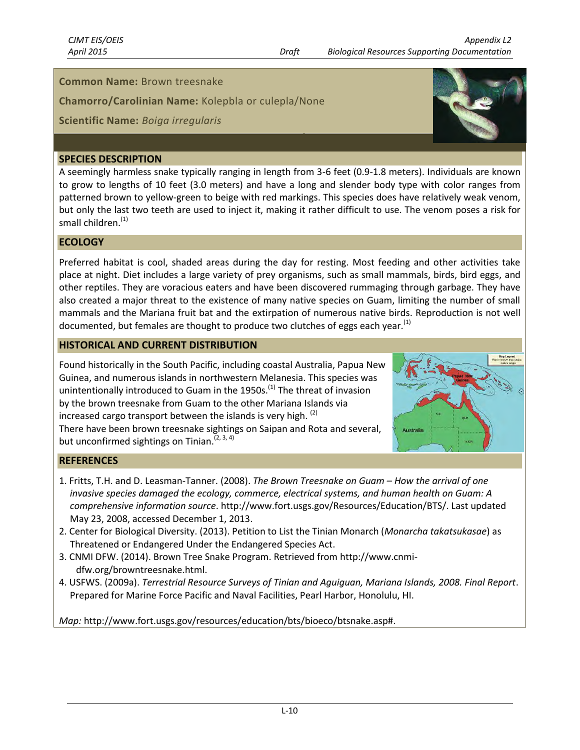### **Common Name:** Brown treesnake

**Chamorro/Carolinian Name:** Kolepbla or culepla/None

# **Scientific Name:** *Boiga irregularis*

#### **SPECIES DESCRIPTION**

A seemingly harmless snake typically ranging in length from 3-6 feet (0.9-1.8 meters). Individuals are known to grow to lengths of 10 feet (3.0 meters) and have a long and slender body type with color ranges from patterned brown to yellow-green to beige with red markings. This species does have relatively weak venom, but only the last two teeth are used to inject it, making it rather difficult to use. The venom poses a risk for small children.<sup>(1)</sup>

### **ECOLOGY**

Preferred habitat is cool, shaded areas during the day for resting. Most feeding and other activities take place at night. Diet includes a large variety of prey organisms, such as small mammals, birds, bird eggs, and other reptiles. They are voracious eaters and have been discovered rummaging through garbage. They have also created a major threat to the existence of many native species on Guam, limiting the number of small mammals and the Mariana fruit bat and the extirpation of numerous native birds. Reproduction is not well documented, but females are thought to produce two clutches of eggs each year.<sup>(1)</sup>

#### **HISTORICAL AND CURRENT DISTRIBUTION**

Found historically in the South Pacific, including coastal Australia, Papua New Guinea, and numerous islands in northwestern Melanesia. This species was unintentionally introduced to Guam in the 1950s.<sup>(1)</sup> The threat of invasion by the brown treesnake from Guam to the other Mariana Islands via increased cargo transport between the islands is very high.  $(2)$ There have been brown treesnake sightings on Saipan and Rota and several, but unconfirmed sightings on Tinian.<sup>(2, 3, 4)</sup>



# **REFERENCES**

- 1. Fritts, T.H. and D. Leasman-Tanner. (2008). *The Brown Treesnake on Guam – How the arrival of one invasive species damaged the ecology, commerce, electrical systems, and human health on Guam: A comprehensive information source*. http://www.fort.usgs.gov/Resources/Education/BTS/. Last updated May 23, 2008, accessed December 1, 2013.
- 2. Center for Biological Diversity. (2013). Petition to List the Tinian Monarch (*Monarcha takatsukasae*) as Threatened or Endangered Under the Endangered Species Act.
- 3. CNMI DFW. (2014). Brown Tree Snake Program. Retrieved from http://www.cnmidfw.org/browntreesnake.html.
- 4. USFWS. (2009a). *Terrestrial Resource Surveys of Tinian and Aguiguan, Mariana Islands, 2008. Final Report*. Prepared for Marine Force Pacific and Naval Facilities, Pearl Harbor, Honolulu, HI.

*Map:* http://www.fort.usgs.gov/resources/education/bts/bioeco/btsnake.asp#.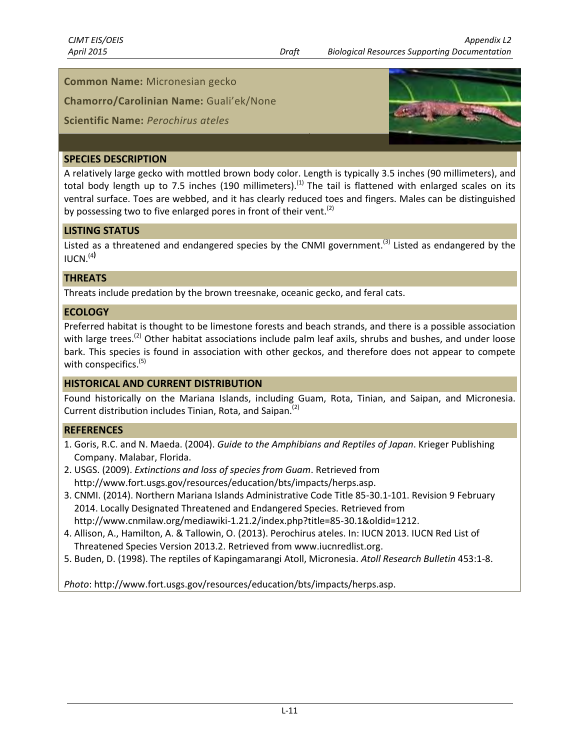# **Common Name:** Micronesian gecko

**Chamorro/Carolinian Name:** Guali'ek/None

# **Scientific Name:** *Perochirus ateles*



# **SPECIES DESCRIPTION**

A relatively large gecko with mottled brown body color. Length is typically 3.5 inches (90 millimeters), and total body length up to 7.5 inches (190 millimeters).<sup>(1)</sup> The tail is flattened with enlarged scales on its ventral surface. Toes are webbed, and it has clearly reduced toes and fingers. Males can be distinguished by possessing two to five enlarged pores in front of their vent.<sup>(2)</sup>

### **LISTING STATUS**

Listed as a threatened and endangered species by the CNMI government.<sup>(3)</sup> Listed as endangered by the IUCN. (4**)**

### **THREATS**

Threats include predation by the brown treesnake, oceanic gecko, and feral cats.

### **ECOLOGY**

Preferred habitat is thought to be limestone forests and beach strands, and there is a possible association with large trees.<sup>(2)</sup> Other habitat associations include palm leaf axils, shrubs and bushes, and under loose bark. This species is found in association with other geckos, and therefore does not appear to compete with conspecifics.<sup>(5)</sup>

# **HISTORICAL AND CURRENT DISTRIBUTION**

Found historically on the Mariana Islands, including Guam, Rota, Tinian, and Saipan, and Micronesia. Current distribution includes Tinian, Rota, and Saipan.<sup>(2)</sup>

# **REFERENCES**

- 1. Goris, R.C. and N. Maeda. (2004). *Guide to the Amphibians and Reptiles of Japan*. Krieger Publishing Company. Malabar, Florida.
- 2. USGS. (2009). *Extinctions and loss of species from Guam*. Retrieved from http://www.fort.usgs.gov/resources/education/bts/impacts/herps.asp.
- 3. CNMI. (2014). Northern Mariana Islands Administrative Code Title 85-30.1-101. Revision 9 February 2014. Locally Designated Threatened and Endangered Species. Retrieved from http://www.cnmilaw.org/mediawiki-1.21.2/index.php?title=85-30.1&oldid=1212.
- 4. Allison, A., Hamilton, A. & Tallowin, O. (2013). Perochirus ateles. In: IUCN 2013. IUCN Red List of Threatened Species Version 2013.2. Retrieved from www.iucnredlist.org.
- 5. Buden, D. (1998). The reptiles of Kapingamarangi Atoll, Micronesia. *Atoll Research Bulletin* 453:1-8.

*Photo*: http://www.fort.usgs.gov/resources/education/bts/impacts/herps.asp.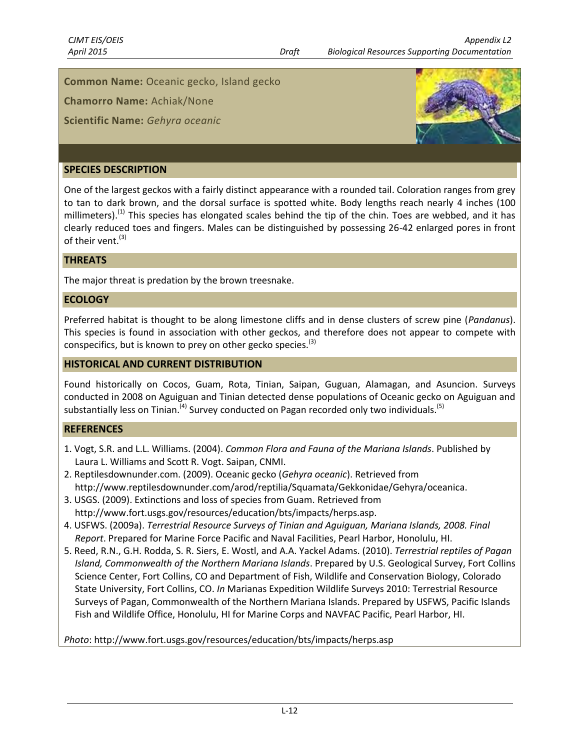**Common Name:** Oceanic gecko, Island gecko

**Chamorro Name:** Achiak/None

**Scientific Name:** *Gehyra oceanic*



#### **SPECIES DESCRIPTION**

One of the largest geckos with a fairly distinct appearance with a rounded tail. Coloration ranges from grey to tan to dark brown, and the dorsal surface is spotted white. Body lengths reach nearly 4 inches (100 millimeters).<sup>(1)</sup> This species has elongated scales behind the tip of the chin. Toes are webbed, and it has clearly reduced toes and fingers. Males can be distinguished by possessing 26-42 enlarged pores in front of their vent.<sup>(3)</sup>

#### **THREATS**

The major threat is predation by the brown treesnake.

#### **ECOLOGY**

Preferred habitat is thought to be along limestone cliffs and in dense clusters of screw pine (*Pandanus*). This species is found in association with other geckos, and therefore does not appear to compete with conspecifics, but is known to prey on other gecko species.<sup>(3)</sup>

#### **HISTORICAL AND CURRENT DISTRIBUTION**

Found historically on Cocos, Guam, Rota, Tinian, Saipan, Guguan, Alamagan, and Asuncion. Surveys conducted in 2008 on Aguiguan and Tinian detected dense populations of Oceanic gecko on Aguiguan and substantially less on Tinian.<sup>(4)</sup> Survey conducted on Pagan recorded only two individuals.<sup>(5)</sup>

#### **REFERENCES**

- 1. Vogt, S.R. and L.L. Williams. (2004). *Common Flora and Fauna of the Mariana Islands*. Published by Laura L. Williams and Scott R. Vogt. Saipan, CNMI.
- 2. Reptilesdownunder.com. (2009). Oceanic gecko (*Gehyra oceanic*). Retrieved from http://www.reptilesdownunder.com/arod/reptilia/Squamata/Gekkonidae/Gehyra/oceanica.
- 3. USGS. (2009). Extinctions and loss of species from Guam. Retrieved from [http://www.fort.usgs.gov/resources/education/bts/impacts/herps.asp.](http://www.fort.usgs.gov/resources/education/bts/impacts/herps.asp)
- 4. USFWS. (2009a). *Terrestrial Resource Surveys of Tinian and Aguiguan, Mariana Islands, 2008. Final Report*. Prepared for Marine Force Pacific and Naval Facilities, Pearl Harbor, Honolulu, HI.
- 5. Reed, R.N., G.H. Rodda, S. R. Siers, E. Wostl, and A.A. Yackel Adams. (2010). *Terrestrial reptiles of Pagan Island, Commonwealth of the Northern Mariana Islands*. Prepared by U.S. Geological Survey, Fort Collins Science Center, Fort Collins, CO and Department of Fish, Wildlife and Conservation Biology, Colorado State University, Fort Collins, CO. *In* Marianas Expedition Wildlife Surveys 2010: Terrestrial Resource Surveys of Pagan, Commonwealth of the Northern Mariana Islands. Prepared by USFWS, Pacific Islands Fish and Wildlife Office, Honolulu, HI for Marine Corps and NAVFAC Pacific, Pearl Harbor, HI.

*Photo*: http://www.fort.usgs.gov/resources/education/bts/impacts/herps.asp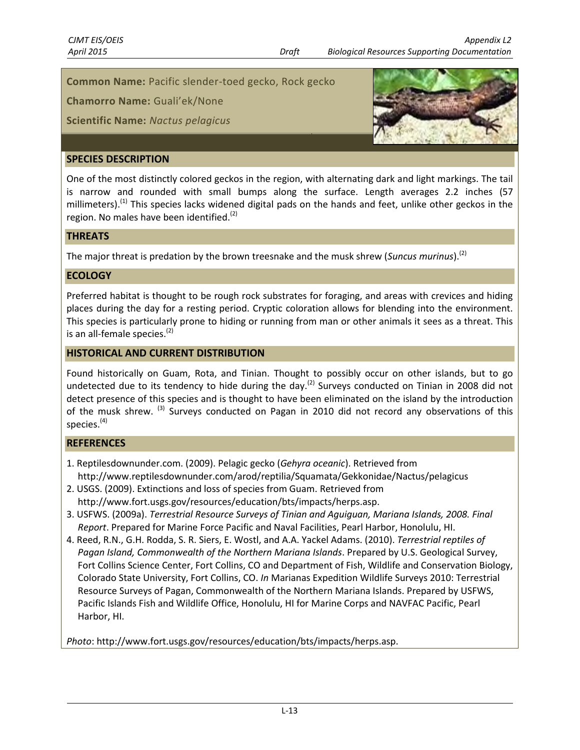**Common Name:** Pacific slender-toed gecko, Rock gecko

**Chamorro Name:** Guali'ek/None

**Scientific Name:** *Nactus pelagicus*



# **SPECIES DESCRIPTION**

One of the most distinctly colored geckos in the region, with alternating dark and light markings. The tail is narrow and rounded with small bumps along the surface. Length averages 2.2 inches (57 millimeters).<sup>(1)</sup> This species lacks widened digital pads on the hands and feet, unlike other geckos in the region. No males have been identified. $<sup>(2)</sup>$ </sup>

#### **THREATS**

The major threat is predation by the brown treesnake and the musk shrew (*Suncus murinus*).(2)

#### **ECOLOGY**

Preferred habitat is thought to be rough rock substrates for foraging, and areas with crevices and hiding places during the day for a resting period. Cryptic coloration allows for blending into the environment. This species is particularly prone to hiding or running from man or other animals it sees as a threat. This is an all-female species.<sup>(2)</sup>

#### **HISTORICAL AND CURRENT DISTRIBUTION**

Found historically on Guam, Rota, and Tinian. Thought to possibly occur on other islands, but to go undetected due to its tendency to hide during the day.<sup>(2)</sup> Surveys conducted on Tinian in 2008 did not detect presence of this species and is thought to have been eliminated on the island by the introduction of the musk shrew. <sup>(3)</sup> Surveys conducted on Pagan in 2010 did not record any observations of this species. $(4)$ 

#### **REFERENCES**

- 1. Reptilesdownunder.com. (2009). Pelagic gecko (*Gehyra oceanic*). Retrieved from http://www.reptilesdownunder.com/arod/reptilia/Squamata/Gekkonidae/Nactus/pelagicus
- 2. USGS. (2009). Extinctions and loss of species from Guam. Retrieved from http://www.fort.usgs.gov/resources/education/bts/impacts/herps.asp.
- 3. USFWS. (2009a). *Terrestrial Resource Surveys of Tinian and Aguiguan, Mariana Islands, 2008. Final Report*. Prepared for Marine Force Pacific and Naval Facilities, Pearl Harbor, Honolulu, HI.
- 4. Reed, R.N., G.H. Rodda, S. R. Siers, E. Wostl, and A.A. Yackel Adams. (2010). *Terrestrial reptiles of Pagan Island, Commonwealth of the Northern Mariana Islands*. Prepared by U.S. Geological Survey, Fort Collins Science Center, Fort Collins, CO and Department of Fish, Wildlife and Conservation Biology, Colorado State University, Fort Collins, CO. *In* Marianas Expedition Wildlife Surveys 2010: Terrestrial Resource Surveys of Pagan, Commonwealth of the Northern Mariana Islands. Prepared by USFWS, Pacific Islands Fish and Wildlife Office, Honolulu, HI for Marine Corps and NAVFAC Pacific, Pearl Harbor, HI.

*Photo*: http://www.fort.usgs.gov/resources/education/bts/impacts/herps.asp.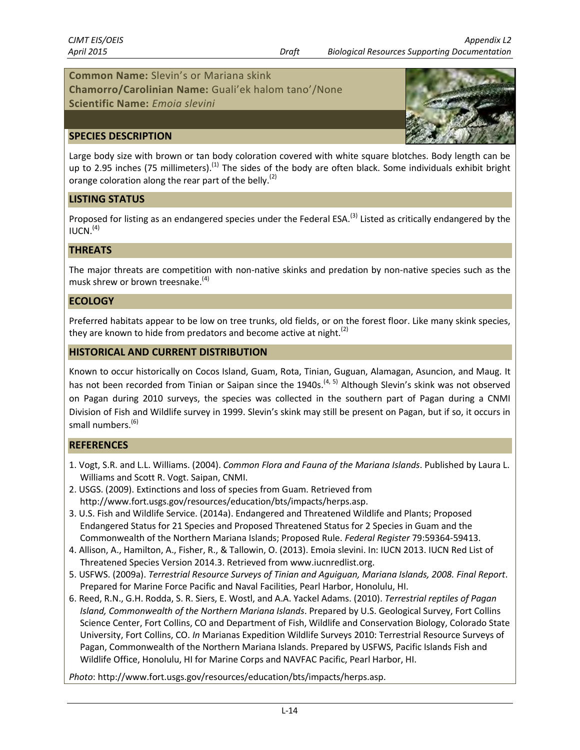# **Common Name:** Slevin's or Mariana skink

**Chamorro/Carolinian Name:** Guali'ek halom tano'/None

**Scientific Name:** *Emoia slevini*

#### **SPECIES DESCRIPTION**



Large body size with brown or tan body coloration covered with white square blotches. Body length can be up to 2.95 inches (75 millimeters).<sup>(1)</sup> The sides of the body are often black. Some individuals exhibit bright orange coloration along the rear part of the belly.<sup>(2)</sup>

#### **LISTING STATUS**

Proposed for listing as an endangered species under the Federal ESA.<sup>(3)</sup> Listed as critically endangered by the  $IUCN.<sup>(4)</sup>$ 

#### **THREATS**

The major threats are competition with non-native skinks and predation by non-native species such as the musk shrew or brown treesnake.<sup>(4)</sup>

#### **ECOLOGY**

Preferred habitats appear to be low on tree trunks, old fields, or on the forest floor. Like many skink species, they are known to hide from predators and become active at night.<sup>(2)</sup>

#### **HISTORICAL AND CURRENT DISTRIBUTION**

Known to occur historically on Cocos Island, Guam, Rota, Tinian, Guguan, Alamagan, Asuncion, and Maug. It has not been recorded from Tinian or Saipan since the 1940s.<sup>(4, 5)</sup> Although Slevin's skink was not observed on Pagan during 2010 surveys, the species was collected in the southern part of Pagan during a CNMI Division of Fish and Wildlife survey in 1999. Slevin's skink may still be present on Pagan, but if so, it occurs in small numbers. (6)

#### **REFERENCES**

- 1. Vogt, S.R. and L.L. Williams. (2004). *Common Flora and Fauna of the Mariana Islands*. Published by Laura L. Williams and Scott R. Vogt. Saipan, CNMI.
- 2. USGS. (2009). Extinctions and loss of species from Guam. Retrieved from http://www.fort.usgs.gov/resources/education/bts/impacts/herps.asp.
- 3. U.S. Fish and Wildlife Service. (2014a). Endangered and Threatened Wildlife and Plants; Proposed Endangered Status for 21 Species and Proposed Threatened Status for 2 Species in Guam and the Commonwealth of the Northern Mariana Islands; Proposed Rule. *Federal Register* 79:59364-59413.
- 4. Allison, A., Hamilton, A., Fisher, R., & Tallowin, O. (2013). Emoia slevini. In: IUCN 2013. IUCN Red List of Threatened Species Version 2014.3. Retrieved from www.iucnredlist.org.
- 5. USFWS. (2009a). *Terrestrial Resource Surveys of Tinian and Aguiguan, Mariana Islands, 2008. Final Report*. Prepared for Marine Force Pacific and Naval Facilities, Pearl Harbor, Honolulu, HI.
- 6. Reed, R.N., G.H. Rodda, S. R. Siers, E. Wostl, and A.A. Yackel Adams. (2010). *Terrestrial reptiles of Pagan Island, Commonwealth of the Northern Mariana Islands*. Prepared by U.S. Geological Survey, Fort Collins Science Center, Fort Collins, CO and Department of Fish, Wildlife and Conservation Biology, Colorado State University, Fort Collins, CO. *In* Marianas Expedition Wildlife Surveys 2010: Terrestrial Resource Surveys of Pagan, Commonwealth of the Northern Mariana Islands. Prepared by USFWS, Pacific Islands Fish and Wildlife Office, Honolulu, HI for Marine Corps and NAVFAC Pacific, Pearl Harbor, HI.

*Photo*: http://www.fort.usgs.gov/resources/education/bts/impacts/herps.asp.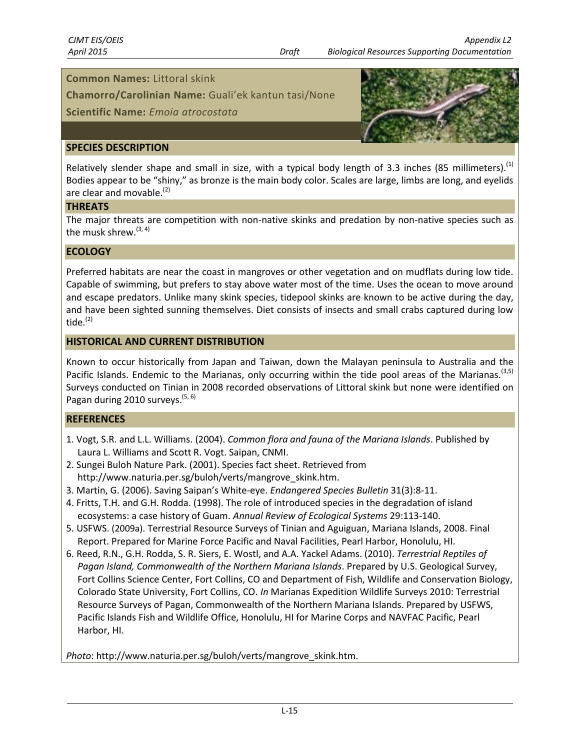#### **Common Names:** Littoral skink

**Chamorro/Carolinian Name:** Guali'ek kantun tasi/None

**Scientific Name:** *Emoia atrocostata*



#### **SPECIES DESCRIPTION**

Relatively slender shape and small in size, with a typical body length of 3.3 inches (85 millimeters).<sup>(1)</sup> Bodies appear to be "shiny," as bronze is the main body color. Scales are large, limbs are long, and eyelids are clear and movable. $<sup>(2)</sup>$ </sup>

#### **THREATS**

The major threats are competition with non-native skinks and predation by non-native species such as the musk shrew.<sup>(3, 4)</sup>

# **ECOLOGY**

Preferred habitats are near the coast in mangroves or other vegetation and on mudflats during low tide. Capable of swimming, but prefers to stay above water most of the time. Uses the ocean to move around and escape predators. Unlike many skink species, tidepool skinks are known to be active during the day, and have been sighted sunning themselves. Diet consists of insects and small crabs captured during low tide. $(2)$ 

#### **HISTORICAL AND CURRENT DISTRIBUTION**

Known to occur historically from Japan and Taiwan, down the Malayan peninsula to Australia and the Pacific Islands. Endemic to the Marianas, only occurring within the tide pool areas of the Marianas.<sup>(3,5)</sup> Surveys conducted on Tinian in 2008 recorded observations of Littoral skink but none were identified on Pagan during 2010 surveys.<sup>(5, 6)</sup>

#### **REFERENCES**

- 1. Vogt, S.R. and L.L. Williams. (2004). *Common flora and fauna of the Mariana Islands*. Published by Laura L. Williams and Scott R. Vogt. Saipan, CNMI.
- 2. Sungei Buloh Nature Park. (2001). Species fact sheet. Retrieved from http://www.naturia.per.sg/buloh/verts/mangrove\_skink.htm.
- 3. Martin, G. (2006). Saving Saipan's White-eye. *Endangered Species Bulletin* 31(3):8-11.
- 4. Fritts, T.H. and G.H. Rodda. (1998). The role of introduced species in the degradation of island ecosystems: a case history of Guam. *Annual Review of Ecological Systems* 29:113-140.
- 5. USFWS. (2009a). Terrestrial Resource Surveys of Tinian and Aguiguan, Mariana Islands, 2008. Final Report. Prepared for Marine Force Pacific and Naval Facilities, Pearl Harbor, Honolulu, HI.
- 6. Reed, R.N., G.H. Rodda, S. R. Siers, E. Wostl, and A.A. Yackel Adams. (2010). *Terrestrial Reptiles of Pagan Island, Commonwealth of the Northern Mariana Islands*. Prepared by U.S. Geological Survey, Fort Collins Science Center, Fort Collins, CO and Department of Fish, Wildlife and Conservation Biology, Colorado State University, Fort Collins, CO. *In* Marianas Expedition Wildlife Surveys 2010: Terrestrial Resource Surveys of Pagan, Commonwealth of the Northern Mariana Islands. Prepared by USFWS, Pacific Islands Fish and Wildlife Office, Honolulu, HI for Marine Corps and NAVFAC Pacific, Pearl Harbor, HI.

*Photo*: http://www.naturia.per.sg/buloh/verts/mangrove\_skink.htm.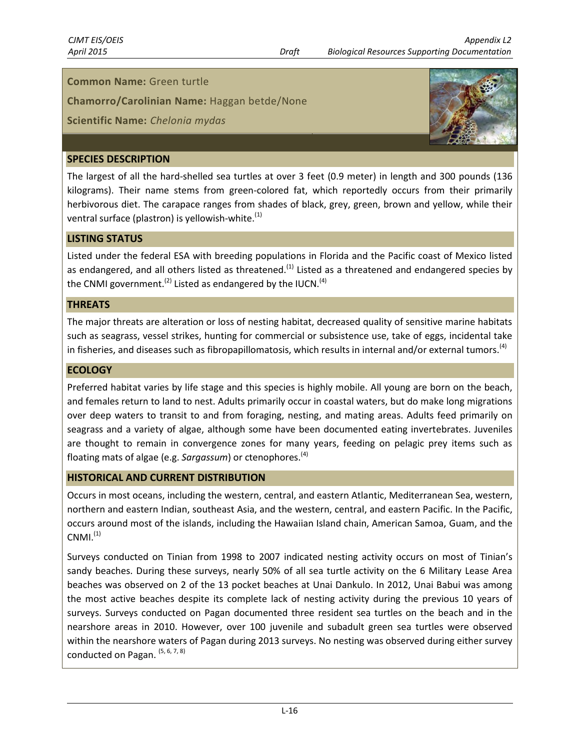#### **Common Name:** Green turtle

**Chamorro/Carolinian Name:** Haggan betde/None

# **Scientific Name:** *Chelonia mydas*



# **SPECIES DESCRIPTION**

The largest of all the hard-shelled sea turtles at over 3 feet (0.9 meter) in length and 300 pounds (136 kilograms). Their name stems from green-colored fat, which reportedly occurs from their primarily herbivorous diet. The carapace ranges from shades of black, grey, green, brown and yellow, while their ventral surface (plastron) is yellowish-white. $<sup>(1)</sup>$ </sup>

### **LISTING STATUS**

Listed under the federal ESA with breeding populations in Florida and the Pacific coast of Mexico listed as endangered, and all others listed as threatened.<sup>(1)</sup> Listed as a threatened and endangered species by the CNMI government.<sup>(2)</sup> Listed as endangered by the IUCN.<sup>(4)</sup>

#### **THREATS**

The major threats are alteration or loss of nesting habitat, decreased quality of sensitive marine habitats such as seagrass, vessel strikes, hunting for commercial or subsistence use, take of eggs, incidental take in fisheries, and diseases such as fibropapillomatosis, which results in internal and/or external tumors.<sup>(4)</sup>

# **ECOLOGY**

Preferred habitat varies by life stage and this species is highly mobile. All young are born on the beach, and females return to land to nest. Adults primarily occur in coastal waters, but do make long migrations over deep waters to transit to and from foraging, nesting, and mating areas. Adults feed primarily on seagrass and a variety of algae, although some have been documented eating invertebrates. Juveniles are thought to remain in convergence zones for many years, feeding on pelagic prey items such as floating mats of algae (e.g. *Sargassum*) or ctenophores.(4)

#### **HISTORICAL AND CURRENT DISTRIBUTION**

Occurs in most oceans, including the western, central, and eastern Atlantic, Mediterranean Sea, western, northern and eastern Indian, southeast Asia, and the western, central, and eastern Pacific. In the Pacific, occurs around most of the islands, including the Hawaiian Island chain, American Samoa, Guam, and the  $CNMI.$ <sup>(1)</sup>

Surveys conducted on Tinian from 1998 to 2007 indicated nesting activity occurs on most of Tinian's sandy beaches. During these surveys, nearly 50% of all sea turtle activity on the 6 Military Lease Area beaches was observed on 2 of the 13 pocket beaches at Unai Dankulo. In 2012, Unai Babui was among the most active beaches despite its complete lack of nesting activity during the previous 10 years of surveys. Surveys conducted on Pagan documented three resident sea turtles on the beach and in the nearshore areas in 2010. However, over 100 juvenile and subadult green sea turtles were observed within the nearshore waters of Pagan during 2013 surveys. No nesting was observed during either survey conducted on Pagan. <sup>(5, 6, 7, 8)</sup>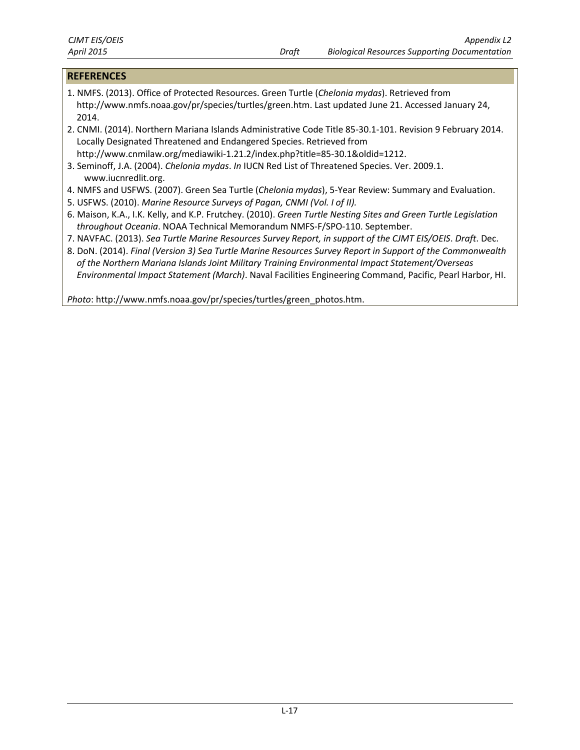#### **REFERENCES**

- 1. NMFS. (2013). Office of Protected Resources. Green Turtle (*Chelonia mydas*). Retrieved from http://www.nmfs.noaa.gov/pr/species/turtles/green.htm. Last updated June 21. Accessed January 24, 2014.
- 2. CNMI. (2014). Northern Mariana Islands Administrative Code Title 85-30.1-101. Revision 9 February 2014. Locally Designated Threatened and Endangered Species. Retrieved from http://www.cnmilaw.org/mediawiki-1.21.2/index.php?title=85-30.1&oldid=1212.
- 3. Seminoff, J.A. (2004). *Chelonia mydas*. *In* IUCN Red List of Threatened Species. Ver. 2009.1. www.iucnredlit.org.
- 4. NMFS and USFWS. (2007). Green Sea Turtle (*Chelonia mydas*), 5-Year Review: Summary and Evaluation.
- 5. USFWS. (2010). *Marine Resource Surveys of Pagan, CNMI (Vol. I of II).*
- 6. Maison, K.A., I.K. Kelly, and K.P. Frutchey. (2010). *Green Turtle Nesting Sites and Green Turtle Legislation throughout Oceania*. NOAA Technical Memorandum NMFS-F/SPO-110. September.
- 7. NAVFAC. (2013). *Sea Turtle Marine Resources Survey Report, in support of the CJMT EIS/OEIS*. *Draft*. Dec.
- 8. DoN. (2014). *Final (Version 3) Sea Turtle Marine Resources Survey Report in Support of the Commonwealth of the Northern Mariana Islands Joint Military Training Environmental Impact Statement/Overseas Environmental Impact Statement (March)*. Naval Facilities Engineering Command, Pacific, Pearl Harbor, HI.

*Photo*: http://www.nmfs.noaa.gov/pr/species/turtles/green\_photos.htm.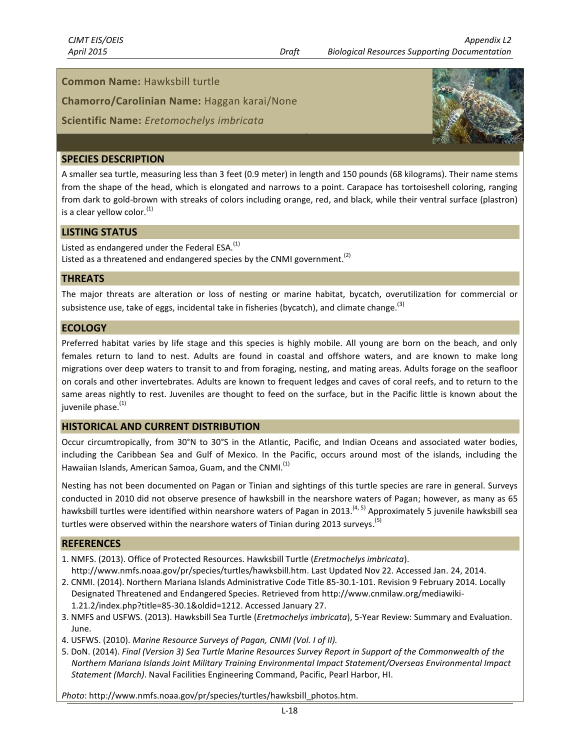#### **Common Name:** Hawksbill turtle

**Chamorro/Carolinian Name:** Haggan karai/None

#### **Scientific Name:** *Eretomochelys imbricata*



#### **SPECIES DESCRIPTION**

A smaller sea turtle, measuring less than 3 feet (0.9 meter) in length and 150 pounds (68 kilograms). Their name stems from the shape of the head, which is elongated and narrows to a point. Carapace has tortoiseshell coloring, ranging from dark to gold-brown with streaks of colors including orange, red, and black, while their ventral surface (plastron) is a clear yellow color. $<sup>(1)</sup>$ </sup>

#### **LISTING STATUS**

Listed as endangered under the Federal ESA. $<sup>(1)</sup>$ </sup> Listed as a threatened and endangered species by the CNMI government.<sup>(2)</sup>

#### **THREATS**

The major threats are alteration or loss of nesting or marine habitat, bycatch, overutilization for commercial or subsistence use, take of eggs, incidental take in fisheries (bycatch), and climate change.<sup>(3)</sup>

#### **ECOLOGY**

Preferred habitat varies by life stage and this species is highly mobile. All young are born on the beach, and only females return to land to nest. Adults are found in coastal and offshore waters, and are known to make long migrations over deep waters to transit to and from foraging, nesting, and mating areas. Adults forage on the seafloor on corals and other invertebrates. Adults are known to frequent ledges and caves of coral reefs, and to return to the same areas nightly to rest. Juveniles are thought to feed on the surface, but in the Pacific little is known about the juvenile phase.<sup>(1)</sup>

#### **HISTORICAL AND CURRENT DISTRIBUTION**

Occur circumtropically, from 30°N to 30°S in the Atlantic, Pacific, and Indian Oceans and associated water bodies, including the Caribbean Sea and Gulf of Mexico. In the Pacific, occurs around most of the islands, including the Hawaiian Islands, American Samoa, Guam, and the CNMI.<sup>(1)</sup>

Nesting has not been documented on Pagan or Tinian and sightings of this turtle species are rare in general. Surveys conducted in 2010 did not observe presence of hawksbill in the nearshore waters of Pagan; however, as many as 65 hawksbill turtles were identified within nearshore waters of Pagan in 2013.<sup>(4, 5)</sup> Approximately 5 juvenile hawksbill sea turtles were observed within the nearshore waters of Tinian during 2013 surveys.<sup>(5)</sup>

#### **REFERENCES**

- 1. NMFS. (2013). Office of Protected Resources. Hawksbill Turtle (*Eretmochelys imbricata*). http://www.nmfs.noaa.gov/pr/species/turtles/hawksbill.htm. Last Updated Nov 22. Accessed Jan. 24, 2014.
- 2. CNMI. (2014). Northern Mariana Islands Administrative Code Title 85-30.1-101. Revision 9 February 2014. Locally Designated Threatened and Endangered Species. Retrieved from http://www.cnmilaw.org/mediawiki-1.21.2/index.php?title=85-30.1&oldid=1212. Accessed January 27.
- 3. NMFS and USFWS. (2013). Hawksbill Sea Turtle (*Eretmochelys imbricata*), 5-Year Review: Summary and Evaluation. June.
- 4. USFWS. (2010). *Marine Resource Surveys of Pagan, CNMI (Vol. I of II).*
- 5. DoN. (2014). *Final (Version 3) Sea Turtle Marine Resources Survey Report in Support of the Commonwealth of the Northern Mariana Islands Joint Military Training Environmental Impact Statement/Overseas Environmental Impact Statement (March)*. Naval Facilities Engineering Command, Pacific, Pearl Harbor, HI.

*Photo*: http://www.nmfs.noaa.gov/pr/species/turtles/hawksbill\_photos.htm.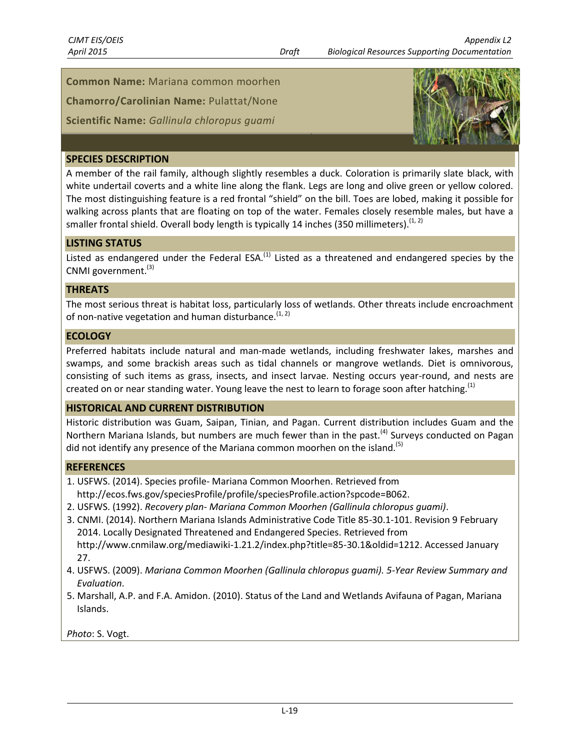**Common Name:** Mariana common moorhen

**Chamorro/Carolinian Name:** Pulattat/None

**Scientific Name:** *Gallinula chloropus guami*



#### **SPECIES DESCRIPTION**

A member of the rail family, although slightly resembles a duck. Coloration is primarily slate black, with white undertail coverts and a white line along the flank. Legs are long and olive green or yellow colored. The most distinguishing feature is a red frontal "shield" on the bill. Toes are lobed, making it possible for walking across plants that are floating on top of the water. Females closely resemble males, but have a smaller frontal shield. Overall body length is typically 14 inches (350 millimeters).<sup>(1, 2)</sup>

### **LISTING STATUS**

Listed as endangered under the Federal ESA.<sup>(1)</sup> Listed as a threatened and endangered species by the CNMI government.<sup>(3)</sup>

#### **THREATS**

The most serious threat is habitat loss, particularly loss of wetlands. Other threats include encroachment of non-native vegetation and human disturbance.  $(1, 2)$ 

#### **ECOLOGY**

Preferred habitats include natural and man-made wetlands, including freshwater lakes, marshes and swamps, and some brackish areas such as tidal channels or mangrove wetlands. Diet is omnivorous, consisting of such items as grass, insects, and insect larvae. Nesting occurs year-round, and nests are created on or near standing water. Young leave the nest to learn to forage soon after hatching.<sup>(1)</sup>

#### **HISTORICAL AND CURRENT DISTRIBUTION**

Historic distribution was Guam, Saipan, Tinian, and Pagan. Current distribution includes Guam and the Northern Mariana Islands, but numbers are much fewer than in the past.<sup>(4)</sup> Surveys conducted on Pagan did not identify any presence of the Mariana common moorhen on the island.<sup>(5)</sup>

#### **REFERENCES**

- 1. USFWS. (2014). Species profile- Mariana Common Moorhen. Retrieved from
- http://ecos.fws.gov/speciesProfile/profile/speciesProfile.action?spcode=B062.
- 2. USFWS. (1992). *Recovery plan- Mariana Common Moorhen (Gallinula chloropus guami)*.
- 3. CNMI. (2014). Northern Mariana Islands Administrative Code Title 85-30.1-101. Revision 9 February 2014. Locally Designated Threatened and Endangered Species. Retrieved from http://www.cnmilaw.org/mediawiki-1.21.2/index.php?title=85-30.1&oldid=1212. Accessed January 27.
- 4. USFWS. (2009). *Mariana Common Moorhen (Gallinula chloropus guami). 5-Year Review Summary and Evaluation*.
- 5. Marshall, A.P. and F.A. Amidon. (2010). Status of the Land and Wetlands Avifauna of Pagan, Mariana Islands.

*Photo*: S. Vogt.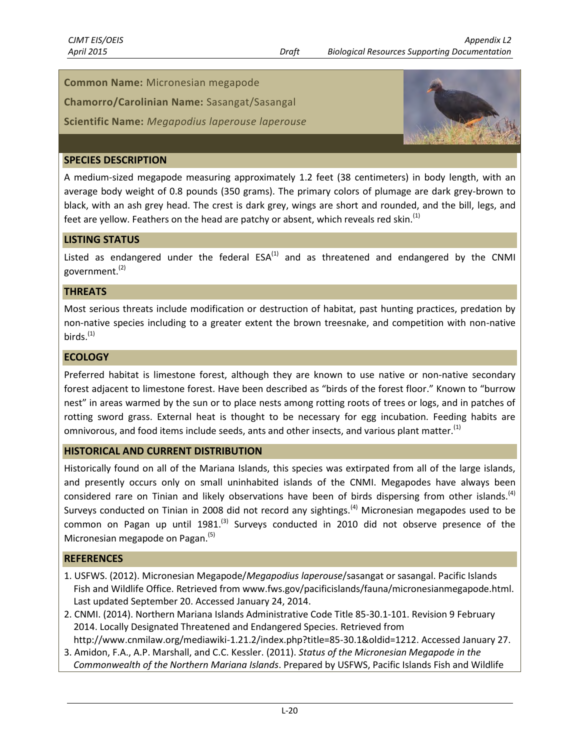### **Common Name:** Micronesian megapode

**Chamorro/Carolinian Name:** Sasangat/Sasangal

**Scientific Name:** *Megapodius laperouse laperouse*



### **SPECIES DESCRIPTION**

A medium-sized megapode measuring approximately 1.2 feet (38 centimeters) in body length, with an average body weight of 0.8 pounds (350 grams). The primary colors of plumage are dark grey-brown to black, with an ash grey head. The crest is dark grey, wings are short and rounded, and the bill, legs, and feet are yellow. Feathers on the head are patchy or absent, which reveals red skin.<sup>(1)</sup>

### **LISTING STATUS**

Listed as endangered under the federal  $ESA^{(1)}$  and as threatened and endangered by the CNMI government. (2)

#### **THREATS**

Most serious threats include modification or destruction of habitat, past hunting practices, predation by non-native species including to a greater extent the brown treesnake, and competition with non-native birds. $(1)$ 

#### **ECOLOGY**

Preferred habitat is limestone forest, although they are known to use native or non-native secondary forest adjacent to limestone forest. Have been described as "birds of the forest floor." Known to "burrow nest" in areas warmed by the sun or to place nests among rotting roots of trees or logs, and in patches of rotting sword grass. External heat is thought to be necessary for egg incubation. Feeding habits are omnivorous, and food items include seeds, ants and other insects, and various plant matter.<sup>(1)</sup>

#### **HISTORICAL AND CURRENT DISTRIBUTION**

Historically found on all of the Mariana Islands, this species was extirpated from all of the large islands, and presently occurs only on small uninhabited islands of the CNMI. Megapodes have always been considered rare on Tinian and likely observations have been of birds dispersing from other islands.<sup>(4)</sup> Surveys conducted on Tinian in 2008 did not record any sightings.<sup>(4)</sup> Micronesian megapodes used to be common on Pagan up until 1981.<sup>(3)</sup> Surveys conducted in 2010 did not observe presence of the Micronesian megapode on Pagan.<sup>(5)</sup>

- 1. USFWS. (2012). Micronesian Megapode/*Megapodius laperouse*/sasangat or sasangal. Pacific Islands Fish and Wildlife Office. Retrieved from www.fws.gov/pacificislands/fauna/micronesianmegapode.html. Last updated September 20. Accessed January 24, 2014.
- 2. CNMI. (2014). Northern Mariana Islands Administrative Code Title 85-30.1-101. Revision 9 February 2014. Locally Designated Threatened and Endangered Species. Retrieved from http://www.cnmilaw.org/mediawiki-1.21.2/index.php?title=85-30.1&oldid=1212. Accessed January 27.
- 3. Amidon, F.A., A.P. Marshall, and C.C. Kessler. (2011). *Status of the Micronesian Megapode in the Commonwealth of the Northern Mariana Islands*. Prepared by USFWS, Pacific Islands Fish and Wildlife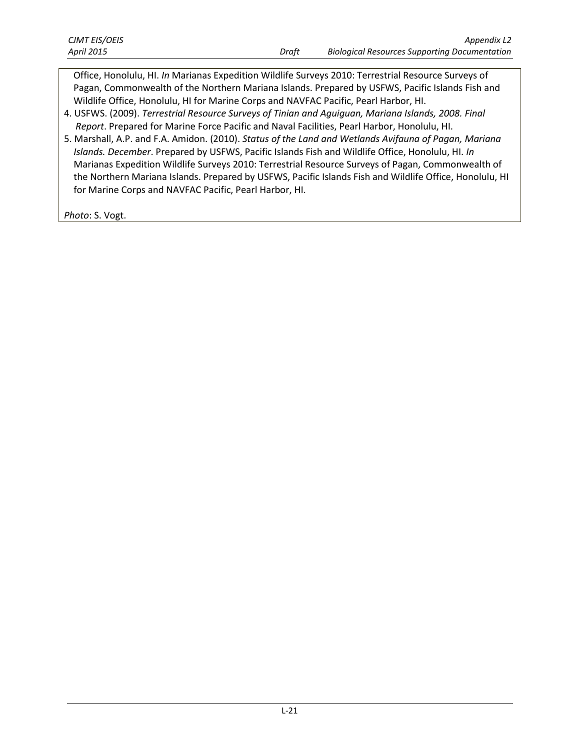Office, Honolulu, HI. *In* Marianas Expedition Wildlife Surveys 2010: Terrestrial Resource Surveys of Pagan, Commonwealth of the Northern Mariana Islands. Prepared by USFWS, Pacific Islands Fish and Wildlife Office, Honolulu, HI for Marine Corps and NAVFAC Pacific, Pearl Harbor, HI.

- 4. USFWS. (2009). *Terrestrial Resource Surveys of Tinian and Aguiguan, Mariana Islands, 2008. Final Report*. Prepared for Marine Force Pacific and Naval Facilities, Pearl Harbor, Honolulu, HI.
- 5. Marshall, A.P. and F.A. Amidon. (2010). *Status of the Land and Wetlands Avifauna of Pagan, Mariana Islands. December*. Prepared by USFWS, Pacific Islands Fish and Wildlife Office, Honolulu, HI. *In* Marianas Expedition Wildlife Surveys 2010: Terrestrial Resource Surveys of Pagan, Commonwealth of the Northern Mariana Islands. Prepared by USFWS, Pacific Islands Fish and Wildlife Office, Honolulu, HI for Marine Corps and NAVFAC Pacific, Pearl Harbor, HI.

*Photo*: S. Vogt.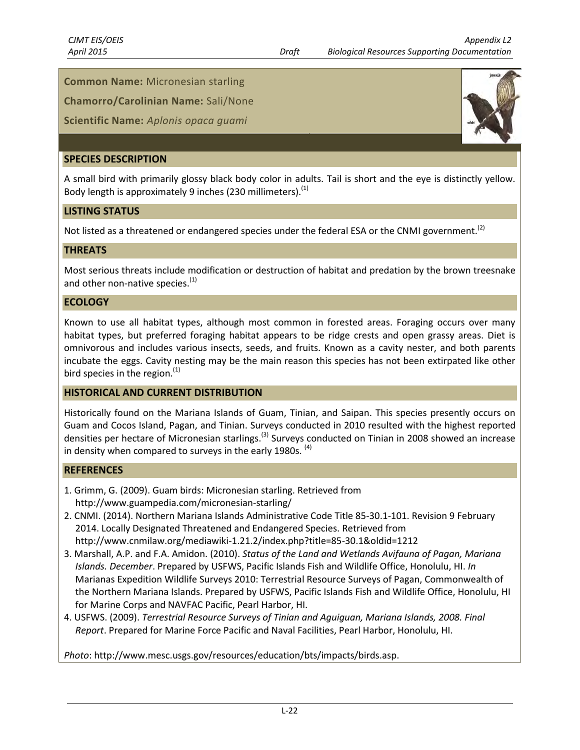# **Common Name:** Micronesian starling

**Chamorro/Carolinian Name:** Sali/None

# **Scientific Name:** *Aplonis opaca guami*

#### **SPECIES DESCRIPTION**

A small bird with primarily glossy black body color in adults. Tail is short and the eye is distinctly yellow. Body length is approximately 9 inches (230 millimeters).<sup>(1)</sup>

#### **LISTING STATUS**

Not listed as a threatened or endangered species under the federal ESA or the CNMI government.<sup>(2)</sup>

#### **THREATS**

Most serious threats include modification or destruction of habitat and predation by the brown treesnake and other non-native species. $<sup>(1)</sup>$ </sup>

#### **ECOLOGY**

Known to use all habitat types, although most common in forested areas. Foraging occurs over many habitat types, but preferred foraging habitat appears to be ridge crests and open grassy areas. Diet is omnivorous and includes various insects, seeds, and fruits. Known as a cavity nester, and both parents incubate the eggs. Cavity nesting may be the main reason this species has not been extirpated like other bird species in the region. $<sup>(1)</sup>$ </sup>

#### **HISTORICAL AND CURRENT DISTRIBUTION**

Historically found on the Mariana Islands of Guam, Tinian, and Saipan. This species presently occurs on Guam and Cocos Island, Pagan, and Tinian. Surveys conducted in 2010 resulted with the highest reported densities per hectare of Micronesian starlings.<sup>(3)</sup> Surveys conducted on Tinian in 2008 showed an increase in density when compared to surveys in the early 1980s.  $(4)$ 

#### **REFERENCES**

- 1. Grimm, G. (2009). Guam birds: Micronesian starling. Retrieved from http://www.guampedia.com/micronesian-starling/
- 2. CNMI. (2014). Northern Mariana Islands Administrative Code Title 85-30.1-101. Revision 9 February 2014. Locally Designated Threatened and Endangered Species. Retrieved from http://www.cnmilaw.org/mediawiki-1.21.2/index.php?title=85-30.1&oldid=1212
- 3. Marshall, A.P. and F.A. Amidon. (2010). *Status of the Land and Wetlands Avifauna of Pagan, Mariana Islands. December*. Prepared by USFWS, Pacific Islands Fish and Wildlife Office, Honolulu, HI. *In* Marianas Expedition Wildlife Surveys 2010: Terrestrial Resource Surveys of Pagan, Commonwealth of the Northern Mariana Islands. Prepared by USFWS, Pacific Islands Fish and Wildlife Office, Honolulu, HI for Marine Corps and NAVFAC Pacific, Pearl Harbor, HI.
- 4. USFWS. (2009). *Terrestrial Resource Surveys of Tinian and Aguiguan, Mariana Islands, 2008. Final Report*. Prepared for Marine Force Pacific and Naval Facilities, Pearl Harbor, Honolulu, HI.

*Photo*: http://www.mesc.usgs.gov/resources/education/bts/impacts/birds.asp.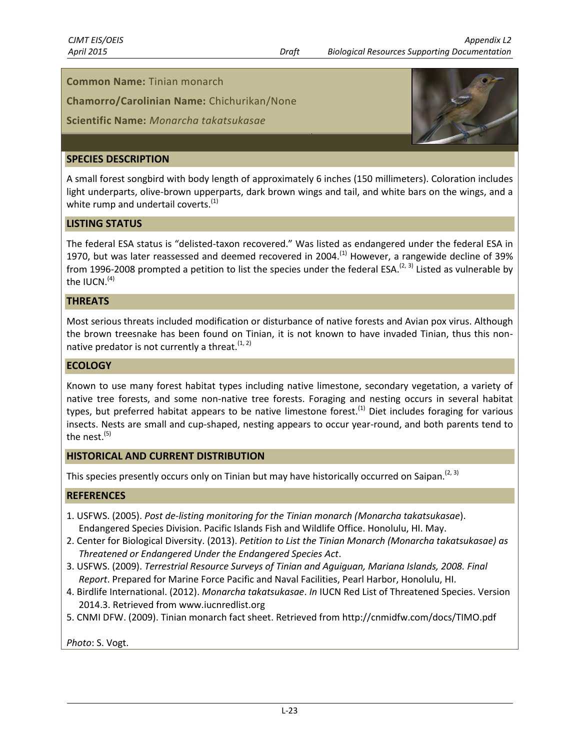#### **Common Name:** Tinian monarch

**Chamorro/Carolinian Name:** Chichurikan/None

#### **Scientific Name:** *Monarcha takatsukasae*

#### **SPECIES DESCRIPTION**

A small forest songbird with body length of approximately 6 inches (150 millimeters). Coloration includes light underparts, olive-brown upperparts, dark brown wings and tail, and white bars on the wings, and a white rump and undertail coverts.<sup>(1)</sup>

#### **LISTING STATUS**

The federal ESA status is "delisted-taxon recovered." Was listed as endangered under the federal ESA in 1970, but was later reassessed and deemed recovered in 2004.<sup>(1)</sup> However, a rangewide decline of 39% from 1996-2008 prompted a petition to list the species under the federal ESA.<sup>(2, 3)</sup> Listed as vulnerable by the IUCN. $(4)$ 

#### **THREATS**

Most serious threats included modification or disturbance of native forests and Avian pox virus. Although the brown treesnake has been found on Tinian, it is not known to have invaded Tinian, thus this nonnative predator is not currently a threat.  $(1, 2)$ 

#### **ECOLOGY**

Known to use many forest habitat types including native limestone, secondary vegetation, a variety of native tree forests, and some non-native tree forests. Foraging and nesting occurs in several habitat types, but preferred habitat appears to be native limestone forest.<sup>(1)</sup> Diet includes foraging for various insects. Nests are small and cup-shaped, nesting appears to occur year-round, and both parents tend to the nest. $^{(5)}$ 

#### **HISTORICAL AND CURRENT DISTRIBUTION**

This species presently occurs only on Tinian but may have historically occurred on Saipan.<sup>(2, 3)</sup>

#### **REFERENCES**

- 1. USFWS. (2005). *Post de-listing monitoring for the Tinian monarch (Monarcha takatsukasae*). Endangered Species Division. Pacific Islands Fish and Wildlife Office. Honolulu, HI. May.
- 2. Center for Biological Diversity. (2013). *Petition to List the Tinian Monarch (Monarcha takatsukasae) as Threatened or Endangered Under the Endangered Species Act*.
- 3. USFWS. (2009). *Terrestrial Resource Surveys of Tinian and Aguiguan, Mariana Islands, 2008. Final Report*. Prepared for Marine Force Pacific and Naval Facilities, Pearl Harbor, Honolulu, HI.
- 4. Birdlife International. (2012). *Monarcha takatsukasae*. *In* IUCN Red List of Threatened Species. Version 2014.3. Retrieved from www.iucnredlist.org
- 5. CNMI DFW. (2009). Tinian monarch fact sheet. Retrieved from http://cnmidfw.com/docs/TIMO.pdf

*Photo*: S. Vogt.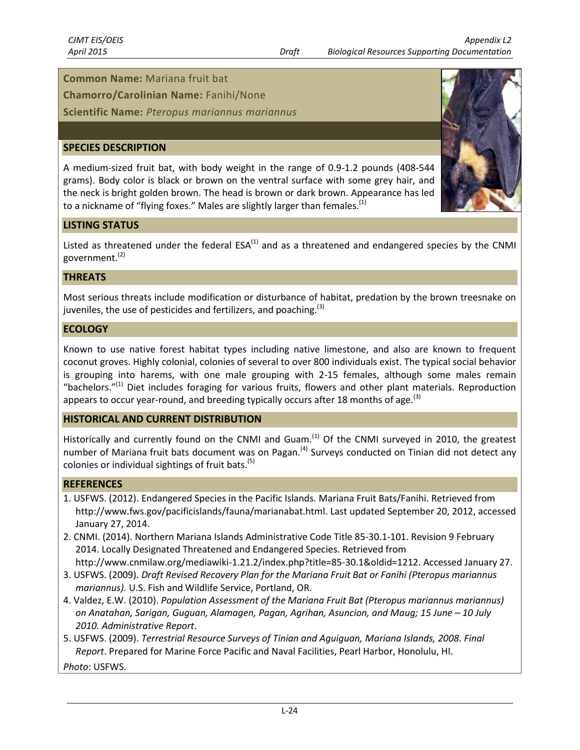#### **Common Name:** Mariana fruit bat

**Chamorro/Carolinian Name:** Fanihi/None

**Scientific Name:** *Pteropus mariannus mariannus*

#### **SPECIES DESCRIPTION**

A medium-sized fruit bat, with body weight in the range of 0.9-1.2 pounds (408-544 grams). Body color is black or brown on the ventral surface with some grey hair, and the neck is bright golden brown. The head is brown or dark brown. Appearance has led to a nickname of "flying foxes." Males are slightly larger than females. $^{(1)}$ 



#### **LISTING STATUS**

Listed as threatened under the federal  $ESA^{(1)}$  and as a threatened and endangered species by the CNMI government. (2)

#### **THREATS**

Most serious threats include modification or disturbance of habitat, predation by the brown treesnake on juveniles, the use of pesticides and fertilizers, and poaching.<sup>(3)</sup>

#### **ECOLOGY**

Known to use native forest habitat types including native limestone, and also are known to frequent coconut groves. Highly colonial, colonies of several to over 800 individuals exist. The typical social behavior is grouping into harems, with one male grouping with 2-15 females, although some males remain "bachelors."<sup>(1)</sup> Diet includes foraging for various fruits, flowers and other plant materials. Reproduction appears to occur year-round, and breeding typically occurs after 18 months of age.<sup>(3)</sup>

#### **HISTORICAL AND CURRENT DISTRIBUTION**

Historically and currently found on the CNMI and Guam.<sup>(1)</sup> Of the CNMI surveyed in 2010, the greatest number of Mariana fruit bats document was on Pagan.<sup>(4)</sup> Surveys conducted on Tinian did not detect any colonies or individual sightings of fruit bats. $^{(5)}$ 

#### **REFERENCES**

- 1. USFWS. (2012). Endangered Species in the Pacific Islands. Mariana Fruit Bats/Fanihi. Retrieved from http://www.fws.gov/pacificislands/fauna/marianabat.html. Last updated September 20, 2012, accessed January 27, 2014.
- 2. CNMI. (2014). Northern Mariana Islands Administrative Code Title 85-30.1-101. Revision 9 February 2014. Locally Designated Threatened and Endangered Species. Retrieved from http://www.cnmilaw.org/mediawiki-1.21.2/index.php?title=85-30.1&oldid=1212. Accessed January 27.
- 3. USFWS. (2009). *Draft Revised Recovery Plan for the Mariana Fruit Bat or Fanihi (Pteropus mariannus mariannus).* U.S. Fish and Wildlife Service, Portland, OR.
- 4. Valdez, E.W. (2010). *Population Assessment of the Mariana Fruit Bat (Pteropus mariannus mariannus) on Anatahan, Sarigan, Guguan, Alamagen, Pagan, Agrihan, Asuncion, and Maug; 15 June – 10 July 2010. Administrative Report*.
- 5. USFWS. (2009). *Terrestrial Resource Surveys of Tinian and Aguiguan, Mariana Islands, 2008. Final Report*. Prepared for Marine Force Pacific and Naval Facilities, Pearl Harbor, Honolulu, HI.

*Photo*: USFWS.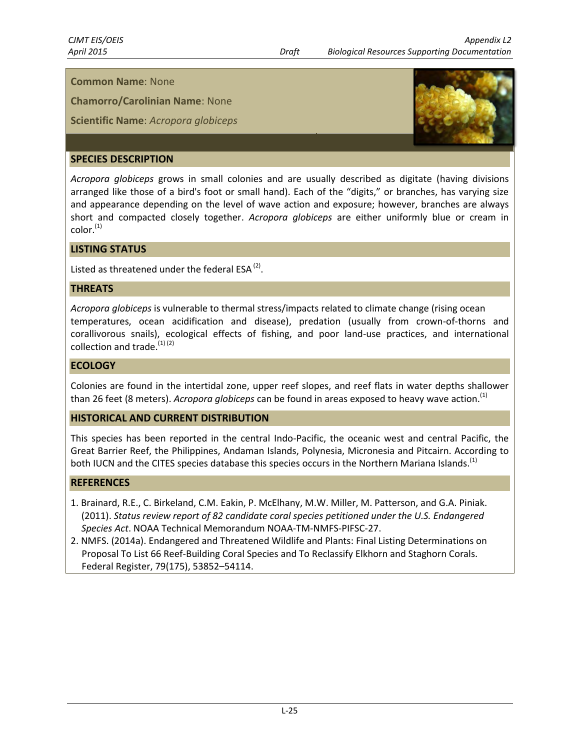**Chamorro/Carolinian Name**: None

**Scientific Name**: *Acropora globiceps*



# **SPECIES DESCRIPTION**

*Acropora globiceps* grows in small colonies and are usually described as digitate (having divisions arranged like those of a bird's foot or small hand). Each of the "digits," or branches, has varying size and appearance depending on the level of wave action and exposure; however, branches are always short and compacted closely together. *Acropora globiceps* are either uniformly blue or cream in  $color<sub>(1)</sub>$ 

#### **LISTING STATUS**

Listed as threatened under the federal ESA $^{(2)}$ .

#### **THREATS**

*Acropora globiceps* is vulnerable to thermal stress/impacts related to climate change (rising ocean temperatures, ocean acidification and disease), predation (usually from crown-of-thorns and corallivorous snails), ecological effects of fishing, and poor land-use practices, and international collection and trade. $^{(1)(2)}$ 

#### **ECOLOGY**

Colonies are found in the intertidal zone, upper reef slopes, and reef flats in water depths shallower than 26 feet (8 meters). *Acropora globiceps* can be found in areas exposed to heavy wave action. (1)

#### **HISTORICAL AND CURRENT DISTRIBUTION**

This species has been reported in the central Indo-Pacific, the oceanic west and central Pacific, the Great Barrier Reef, the Philippines, Andaman Islands, Polynesia, Micronesia and Pitcairn. According to both IUCN and the CITES species database this species occurs in the Northern Mariana Islands.<sup>(1)</sup>

- 1. Brainard, R.E., C. Birkeland, C.M. Eakin, P. McElhany, M.W. Miller, M. Patterson, and G.A. Piniak. (2011). *Status review report of 82 candidate coral species petitioned under the U.S. Endangered Species Act*. NOAA Technical Memorandum NOAA-TM-NMFS-PIFSC-27.
- 2. NMFS. (2014a). Endangered and Threatened Wildlife and Plants: Final Listing Determinations on Proposal To List 66 Reef-Building Coral Species and To Reclassify Elkhorn and Staghorn Corals. Federal Register, 79(175), 53852–54114.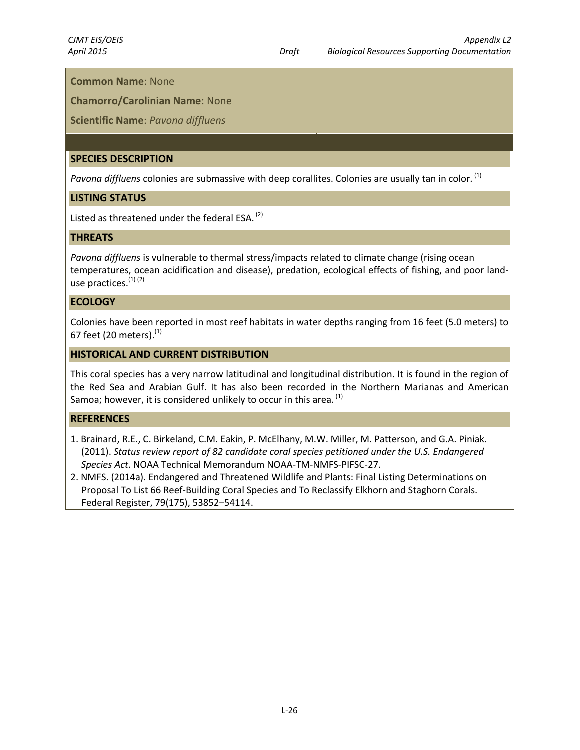**Chamorro/Carolinian Name**: None

### **Scientific Name**: *Pavona diffluens*

# **SPECIES DESCRIPTION**

*Pavona diffluens* colonies are submassive with deep corallites. Colonies are usually tan in color. (1)

### **LISTING STATUS**

Listed as threatened under the federal ESA.  $^{(2)}$ 

#### **THREATS**

*Pavona diffluens* is vulnerable to thermal stress/impacts related to climate change (rising ocean temperatures, ocean acidification and disease), predation, ecological effects of fishing, and poor landuse practices.<sup>(1)(2)</sup>

### **ECOLOGY**

Colonies have been reported in most reef habitats in water depths ranging from 16 feet (5.0 meters) to 67 feet (20 meters).<sup>(1)</sup>

### **HISTORICAL AND CURRENT DISTRIBUTION**

This coral species has a very narrow latitudinal and longitudinal distribution. It is found in the region of the Red Sea and Arabian Gulf. It has also been recorded in the Northern Marianas and American Samoa; however, it is considered unlikely to occur in this area.<sup>(1)</sup>

- 1. Brainard, R.E., C. Birkeland, C.M. Eakin, P. McElhany, M.W. Miller, M. Patterson, and G.A. Piniak. (2011). *Status review report of 82 candidate coral species petitioned under the U.S. Endangered Species Act*. NOAA Technical Memorandum NOAA-TM-NMFS-PIFSC-27.
- 2. NMFS. (2014a). Endangered and Threatened Wildlife and Plants: Final Listing Determinations on Proposal To List 66 Reef-Building Coral Species and To Reclassify Elkhorn and Staghorn Corals. Federal Register, 79(175), 53852–54114.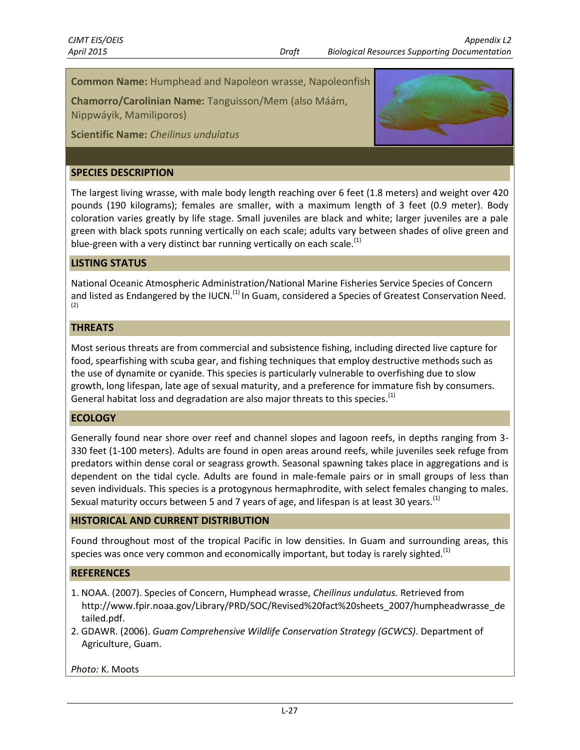# **Common Name:** Humphead and Napoleon wrasse, Napoleonfish

**Chamorro/Carolinian Name:** Tanguisson/Mem (also Máám, Nippwáyik, Mamiliporos)

**Scientific Name:** *Cheilinus undulatus*

#### **SPECIES DESCRIPTION**

The largest living wrasse, with male body length reaching over 6 feet (1.8 meters) and weight over 420 pounds (190 kilograms); females are smaller, with a maximum length of 3 feet (0.9 meter). Body coloration varies greatly by life stage. Small juveniles are black and white; larger juveniles are a pale green with black spots running vertically on each scale; adults vary between shades of olive green and blue-green with a very distinct bar running vertically on each scale. $<sup>(1)</sup>$ </sup>

### **LISTING STATUS**

National Oceanic Atmospheric Administration/National Marine Fisheries Service Species of Concern and listed as Endangered by the IUCN.<sup>(1)</sup> In Guam, considered a Species of Greatest Conservation Need. (2)

#### **THREATS**

Most serious threats are from commercial and subsistence fishing, including directed live capture for food, spearfishing with scuba gear, and fishing techniques that employ destructive methods such as the use of dynamite or cyanide. This species is particularly vulnerable to overfishing due to slow growth, long lifespan, late age of sexual maturity, and a preference for immature fish by consumers. General habitat loss and degradation are also major threats to this species.<sup>(1)</sup>

#### **ECOLOGY**

Generally found near shore over reef and channel slopes and lagoon reefs, in depths ranging from 3- 330 feet (1-100 meters). Adults are found in open areas around reefs, while juveniles seek refuge from predators within dense coral or seagrass growth. Seasonal spawning takes place in aggregations and is dependent on the tidal cycle. Adults are found in male-female pairs or in small groups of less than seven individuals. This species is a protogynous hermaphrodite, with select females changing to males. Sexual maturity occurs between 5 and 7 years of age, and lifespan is at least 30 years.<sup>(1)</sup>

#### **HISTORICAL AND CURRENT DISTRIBUTION**

Found throughout most of the tropical Pacific in low densities. In Guam and surrounding areas, this species was once very common and economically important, but today is rarely sighted.<sup>(1)</sup>

#### **REFERENCES**

- 1. NOAA. (2007). Species of Concern, Humphead wrasse, *Cheilinus undulatus.* Retrieved from http://www.fpir.noaa.gov/Library/PRD/SOC/Revised%20fact%20sheets\_2007/humpheadwrasse\_de tailed.pdf.
- 2. GDAWR. (2006). *Guam Comprehensive Wildlife Conservation Strategy (GCWCS)*. Department of Agriculture, Guam.

*Photo:* K. Moots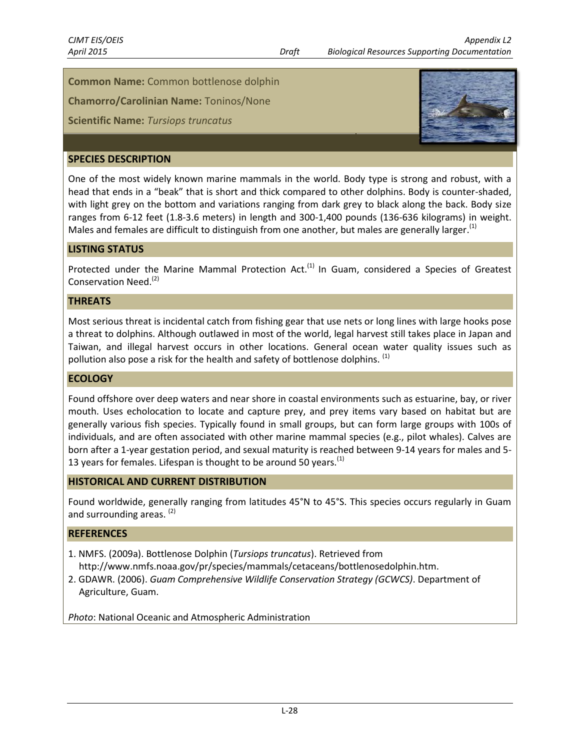**Common Name:** Common bottlenose dolphin

**Chamorro/Carolinian Name:** Toninos/None

# **Scientific Name:** *Tursiops truncatus*



#### **SPECIES DESCRIPTION**

One of the most widely known marine mammals in the world. Body type is strong and robust, with a head that ends in a "beak" that is short and thick compared to other dolphins. Body is counter-shaded, with light grey on the bottom and variations ranging from dark grey to black along the back. Body size ranges from 6-12 feet (1.8-3.6 meters) in length and 300-1,400 pounds (136-636 kilograms) in weight. Males and females are difficult to distinguish from one another, but males are generally larger.<sup>(1)</sup>

#### **LISTING STATUS**

Protected under the Marine Mammal Protection Act.<sup>(1)</sup> In Guam, considered a Species of Greatest Conservation Need.<sup>(2)</sup>

#### **THREATS**

Most serious threat is incidental catch from fishing gear that use nets or long lines with large hooks pose a threat to dolphins. Although outlawed in most of the world, legal harvest still takes place in Japan and Taiwan, and illegal harvest occurs in other locations. General ocean water quality issues such as pollution also pose a risk for the health and safety of bottlenose dolphins. <sup>(1)</sup>

#### **ECOLOGY**

Found offshore over deep waters and near shore in coastal environments such as estuarine, bay, or river mouth. Uses echolocation to locate and capture prey, and prey items vary based on habitat but are generally various fish species. Typically found in small groups, but can form large groups with 100s of individuals, and are often associated with other marine mammal species (e.g., pilot whales). Calves are born after a 1-year gestation period, and sexual maturity is reached between 9-14 years for males and 5- 13 years for females. Lifespan is thought to be around 50 years. $<sup>(1)</sup>$ </sup>

#### **HISTORICAL AND CURRENT DISTRIBUTION**

Found worldwide, generally ranging from latitudes 45°N to 45°S. This species occurs regularly in Guam and surrounding areas. <sup>(2)</sup>

### **REFERENCES**

- 1. NMFS. (2009a). Bottlenose Dolphin (*Tursiops truncatus*). Retrieved from http://www.nmfs.noaa.gov/pr/species/mammals/cetaceans/bottlenosedolphin.htm.
- 2. GDAWR. (2006). *Guam Comprehensive Wildlife Conservation Strategy (GCWCS)*. Department of Agriculture, Guam.

*Photo*: National Oceanic and Atmospheric Administration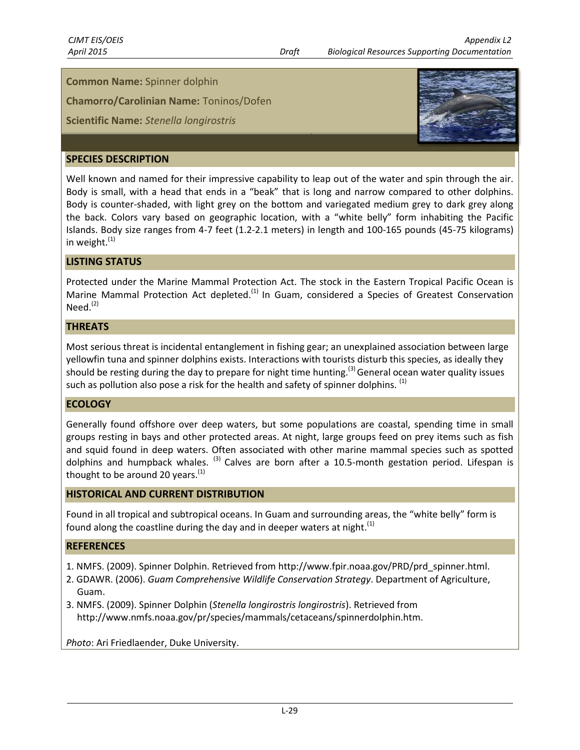**Common Name:** Spinner dolphin

**Chamorro/Carolinian Name:** Toninos/Dofen

**Scientific Name:** *Stenella longirostris*



# **SPECIES DESCRIPTION**

Well known and named for their impressive capability to leap out of the water and spin through the air. Body is small, with a head that ends in a "beak" that is long and narrow compared to other dolphins. Body is counter-shaded, with light grey on the bottom and variegated medium grey to dark grey along the back. Colors vary based on geographic location, with a "white belly" form inhabiting the Pacific Islands. Body size ranges from 4-7 feet (1.2-2.1 meters) in length and 100-165 pounds (45-75 kilograms) in weight. $(1)$ 

#### **LISTING STATUS**

Protected under the Marine Mammal Protection Act. The stock in the Eastern Tropical Pacific Ocean is Marine Mammal Protection Act depleted.<sup>(1)</sup> In Guam, considered a Species of Greatest Conservation  $Need.<sup>(2)</sup>$ 

#### **THREATS**

Most serious threat is incidental entanglement in fishing gear; an unexplained association between large yellowfin tuna and spinner dolphins exists. Interactions with tourists disturb this species, as ideally they should be resting during the day to prepare for night time hunting.<sup>(3)</sup> General ocean water quality issues such as pollution also pose a risk for the health and safety of spinner dolphins. <sup>(1)</sup>

#### **ECOLOGY**

Generally found offshore over deep waters, but some populations are coastal, spending time in small groups resting in bays and other protected areas. At night, large groups feed on prey items such as fish and squid found in deep waters. Often associated with other marine mammal species such as spotted dolphins and humpback whales.  $(3)$  Calves are born after a 10.5-month gestation period. Lifespan is thought to be around 20 years.<sup>(1)</sup>

#### **HISTORICAL AND CURRENT DISTRIBUTION**

Found in all tropical and subtropical oceans. In Guam and surrounding areas, the "white belly" form is found along the coastline during the day and in deeper waters at night.<sup>(1)</sup>

#### **REFERENCES**

- 1. NMFS. (2009). Spinner Dolphin. Retrieved from http://www.fpir.noaa.gov/PRD/prd\_spinner.html.
- 2. GDAWR. (2006). *Guam Comprehensive Wildlife Conservation Strategy*. Department of Agriculture, Guam.
- 3. NMFS. (2009). Spinner Dolphin (*Stenella longirostris longirostris*). Retrieved from http://www.nmfs.noaa.gov/pr/species/mammals/cetaceans/spinnerdolphin.htm.

*Photo*: Ari Friedlaender, Duke University.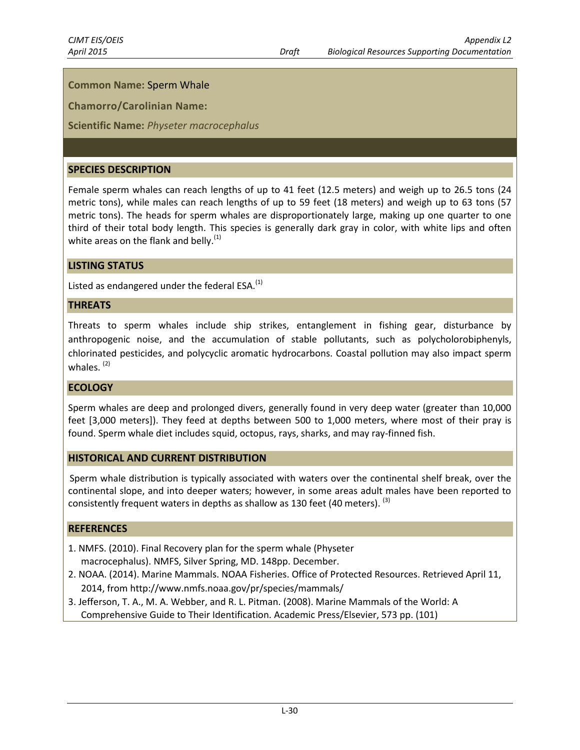# **Common Name:** Sperm Whale

**Chamorro/Carolinian Name:**

**Scientific Name:** *Physeter macrocephalus*

#### **SPECIES DESCRIPTION**

Female sperm whales can reach lengths of up to 41 feet (12.5 meters) and weigh up to 26.5 tons (24 metric tons), while males can reach lengths of up to 59 feet (18 meters) and weigh up to 63 tons (57 metric tons). The heads for sperm whales are disproportionately large, making up one quarter to one third of their total body length. This species is generally dark gray in color, with white lips and often white areas on the flank and belly. $(1)$ 

#### **LISTING STATUS**

Listed as endangered under the federal  $ESA<sup>(1)</sup>$ 

#### **THREATS**

Threats to sperm whales include ship strikes, entanglement in fishing gear, disturbance by anthropogenic noise, and the accumulation of stable pollutants, such as polycholorobiphenyls, chlorinated pesticides, and polycyclic aromatic hydrocarbons. Coastal pollution may also impact sperm whales.<sup>(2)</sup>

#### **ECOLOGY**

Sperm whales are deep and prolonged divers, generally found in very deep water (greater than 10,000 feet [3,000 meters]). They feed at depths between 500 to 1,000 meters, where most of their pray is found. Sperm whale diet includes squid, octopus, rays, sharks, and may ray-finned fish.

#### **HISTORICAL AND CURRENT DISTRIBUTION**

Sperm whale distribution is typically associated with waters over the continental shelf break, over the continental slope, and into deeper waters; however, in some areas adult males have been reported to consistently frequent waters in depths as shallow as 130 feet (40 meters).  $^{(3)}$ 

- 1. NMFS. (2010). Final Recovery plan for the sperm whale (Physeter macrocephalus). NMFS, Silver Spring, MD. 148pp. December.
- 2. NOAA. (2014). Marine Mammals. NOAA Fisheries. Office of Protected Resources. Retrieved April 11, 2014, from http://www.nmfs.noaa.gov/pr/species/mammals/
- 3. Jefferson, T. A., M. A. Webber, and R. L. Pitman. (2008). Marine Mammals of the World: A Comprehensive Guide to Their Identification. Academic Press/Elsevier, 573 pp. (101)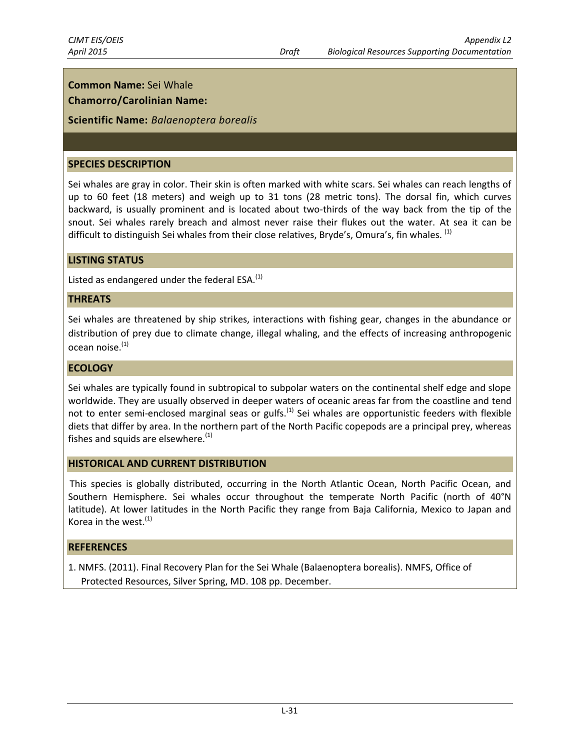# **Common Name:** Sei Whale

# **Chamorro/Carolinian Name:**

**Scientific Name:** *Balaenoptera borealis*

#### **SPECIES DESCRIPTION**

Sei whales are gray in color. Their skin is often marked with white scars. Sei whales can reach lengths of up to 60 feet (18 meters) and weigh up to 31 tons (28 metric tons). The dorsal fin, which curves backward, is usually prominent and is located about two-thirds of the way back from the tip of the snout. Sei whales rarely breach and almost never raise their flukes out the water. At sea it can be difficult to distinguish Sei whales from their close relatives, Bryde's, Omura's, fin whales. <sup>(1)</sup>

# **LISTING STATUS**

Listed as endangered under the federal  $ESA<sup>(1)</sup>$ 

#### **THREATS**

Sei whales are threatened by ship strikes, interactions with fishing gear, changes in the abundance or distribution of prey due to climate change, illegal whaling, and the effects of increasing anthropogenic ocean noise.<sup>(1)</sup>

#### **ECOLOGY**

Sei whales are typically found in subtropical to subpolar waters on the continental shelf edge and slope worldwide. They are usually observed in deeper waters of oceanic areas far from the coastline and tend not to enter semi-enclosed marginal seas or gulfs.<sup>(1)</sup> Sei whales are opportunistic feeders with flexible diets that differ by area. In the northern part of the North Pacific copepods are a principal prey, whereas fishes and squids are elsewhere. $(1)$ 

#### **HISTORICAL AND CURRENT DISTRIBUTION**

This species is globally distributed, occurring in the North Atlantic Ocean, North Pacific Ocean, and Southern Hemisphere. Sei whales occur throughout the temperate North Pacific (north of 40°N latitude). At lower latitudes in the North Pacific they range from Baja California, Mexico to Japan and Korea in the west. $(1)$ 

#### **REFERENCES**

1. NMFS. (2011). Final Recovery Plan for the Sei Whale (Balaenoptera borealis). NMFS, Office of Protected Resources, Silver Spring, MD. 108 pp. December.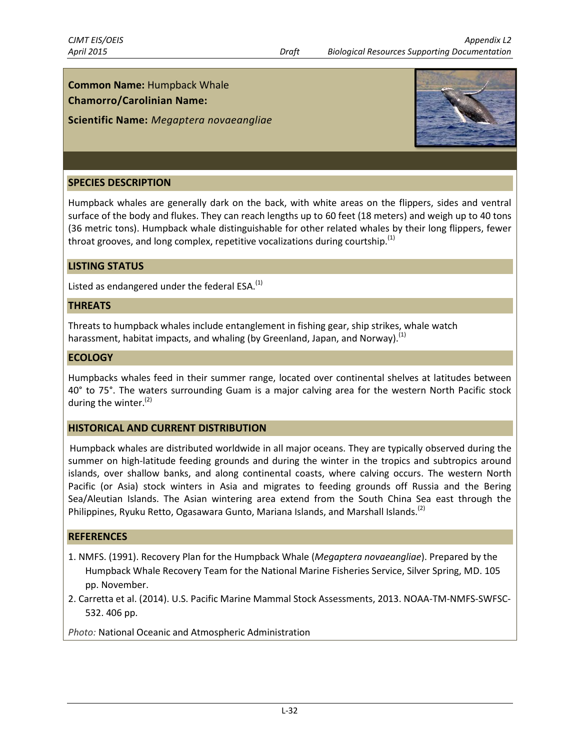# **Common Name:** Humpback Whale

### **Chamorro/Carolinian Name:**

### **Scientific Name:** *Megaptera novaeangliae*



#### **SPECIES DESCRIPTION**

Humpback whales are generally dark on the back, with white areas on the flippers, sides and ventral surface of the body and flukes. They can reach lengths up to 60 feet (18 meters) and weigh up to 40 tons (36 metric tons). Humpback whale distinguishable for other related whales by their long flippers, fewer throat grooves, and long complex, repetitive vocalizations during courtship.<sup>(1)</sup>

#### **LISTING STATUS**

Listed as endangered under the federal ESA. $<sup>(1)</sup>$ </sup>

#### **THREATS**

Threats to humpback whales include entanglement in fishing gear, ship strikes, whale watch harassment, habitat impacts, and whaling (by Greenland, Japan, and Norway).<sup>(1)</sup>

#### **ECOLOGY**

Humpbacks whales feed in their summer range, located over continental shelves at latitudes between 40° to 75°. The waters surrounding Guam is a major calving area for the western North Pacific stock during the winter. $(2)$ 

#### **HISTORICAL AND CURRENT DISTRIBUTION**

Humpback whales are distributed worldwide in all major oceans. They are typically observed during the summer on high-latitude feeding grounds and during the winter in the tropics and subtropics around islands, over shallow banks, and along continental coasts, where calving occurs. The western North Pacific (or Asia) stock winters in Asia and migrates to feeding grounds off Russia and the Bering Sea/Aleutian Islands. The Asian wintering area extend from the South China Sea east through the Philippines, Ryuku Retto, Ogasawara Gunto, Mariana Islands, and Marshall Islands.<sup>(2)</sup>

#### **REFERENCES**

- 1. NMFS. (1991). Recovery Plan for the Humpback Whale (*Megaptera novaeangliae*). Prepared by the Humpback Whale Recovery Team for the National Marine Fisheries Service, Silver Spring, MD. 105 pp. November.
- 2. Carretta et al. (2014). U.S. Pacific Marine Mammal Stock Assessments, 2013. NOAA-TM-NMFS-SWFSC-532. 406 pp.

*Photo:* National Oceanic and Atmospheric Administration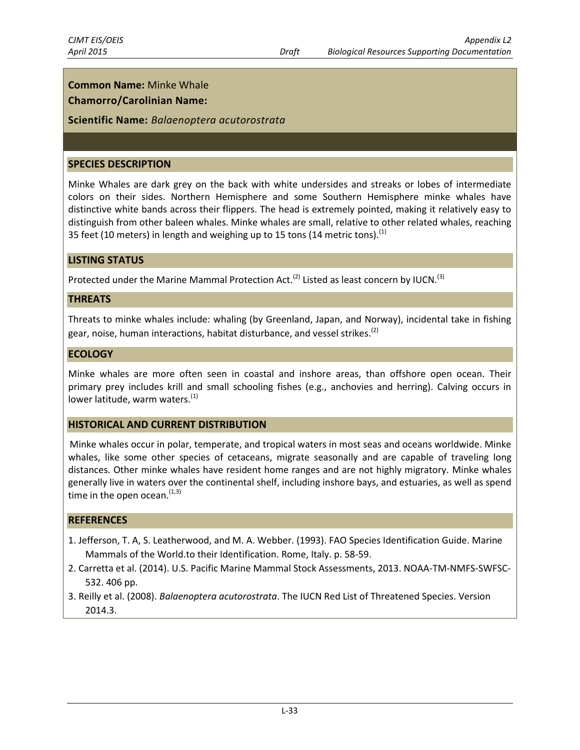# **Common Name:** Minke Whale

# **Chamorro/Carolinian Name:**

### **Scientific Name:** *Balaenoptera acutorostrata*

#### **SPECIES DESCRIPTION**

Minke Whales are dark grey on the back with white undersides and streaks or lobes of intermediate colors on their sides. Northern Hemisphere and some Southern Hemisphere minke whales have distinctive white bands across their flippers. The head is extremely pointed, making it relatively easy to distinguish from other baleen whales. Minke whales are small, relative to other related whales, reaching 35 feet (10 meters) in length and weighing up to 15 tons (14 metric tons).<sup>(1)</sup>

#### **LISTING STATUS**

Protected under the Marine Mammal Protection Act.<sup>(2)</sup> Listed as least concern by IUCN.<sup>(3)</sup>

#### **THREATS**

Threats to minke whales include: whaling (by Greenland, Japan, and Norway), incidental take in fishing gear, noise, human interactions, habitat disturbance, and vessel strikes.<sup>(2)</sup>

#### **ECOLOGY**

Minke whales are more often seen in coastal and inshore areas, than offshore open ocean. Their primary prey includes krill and small schooling fishes (e.g., anchovies and herring). Calving occurs in lower latitude, warm waters. $(1)$ 

#### **HISTORICAL AND CURRENT DISTRIBUTION**

Minke whales occur in polar, temperate, and tropical waters in most seas and oceans worldwide. Minke whales, like some other species of cetaceans, migrate seasonally and are capable of traveling long distances. Other minke whales have resident home ranges and are not highly migratory. Minke whales generally live in waters over the continental shelf, including inshore bays, and estuaries, as well as spend time in the open ocean.  $(1,3)$ 

- 1. Jefferson, T. A, S. Leatherwood, and M. A. Webber. (1993). FAO Species Identification Guide. Marine Mammals of the World.to their Identification. Rome, Italy. p. 58-59.
- 2. Carretta et al. (2014). U.S. Pacific Marine Mammal Stock Assessments, 2013. NOAA-TM-NMFS-SWFSC-532. 406 pp.
- 3. Reilly et al. (2008). *Balaenoptera acutorostrata*. The IUCN Red List of Threatened Species. Version 2014.3.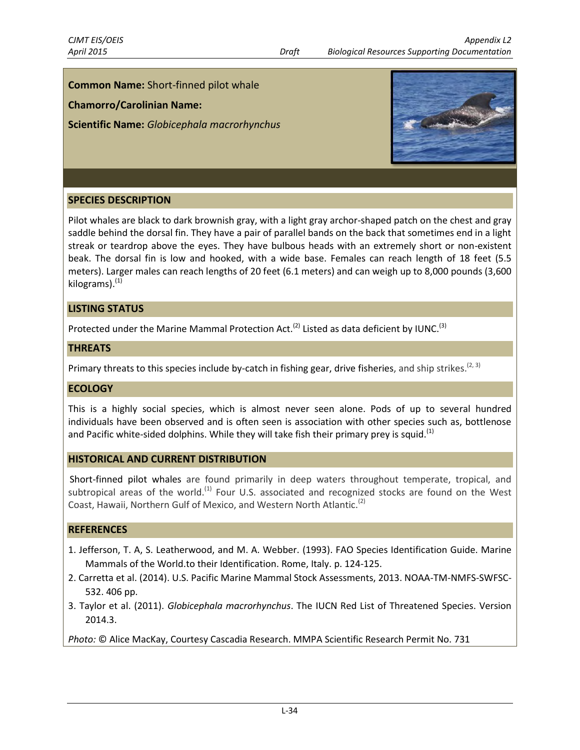# **Common Name:** Short-finned pilot whale

**Chamorro/Carolinian Name:**

**Scientific Name:** *Globicephala macrorhynchus*



# **SPECIES DESCRIPTION**

Pilot whales are black to dark brownish gray, with a light gray archor-shaped patch on the chest and gray saddle behind the dorsal fin. They have a pair of parallel bands on the back that sometimes end in a light streak or teardrop above the eyes. They have bulbous heads with an extremely short or non-existent beak. The dorsal fin is low and hooked, with a wide base. Females can reach length of 18 feet (5.5 meters). Larger males can reach lengths of 20 feet (6.1 meters) and can weigh up to 8,000 pounds (3,600 kilograms). $(1)$ 

#### **LISTING STATUS**

Protected under the Marine Mammal Protection Act.<sup>(2)</sup> Listed as data deficient by IUNC.<sup>(3)</sup>

#### **THREATS**

Primary threats to this species include by-catch in fishing gear, drive fisheries, and ship strikes.<sup>(2, 3)</sup>

#### **ECOLOGY**

This is a highly social species, which is almost never seen alone. Pods of up to several hundred individuals have been observed and is often seen is association with other species such as, bottlenose and Pacific white-sided dolphins. While they will take fish their primary prey is squid.<sup>(1)</sup>

#### **HISTORICAL AND CURRENT DISTRIBUTION**

Short-finned pilot whales are found primarily in deep waters throughout temperate, tropical, and subtropical areas of the world.<sup>(1)</sup> Four U.S. associated and recognized stocks are found on the West Coast, Hawaii, Northern Gulf of Mexico, and Western North Atlantic.<sup>(2)</sup>

#### **REFERENCES**

- 1. Jefferson, T. A, S. Leatherwood, and M. A. Webber. (1993). FAO Species Identification Guide. Marine Mammals of the World.to their Identification. Rome, Italy. p. 124-125.
- 2. Carretta et al. (2014). U.S. Pacific Marine Mammal Stock Assessments, 2013. NOAA-TM-NMFS-SWFSC-532. 406 pp.
- 3. Taylor et al. (2011). *Globicephala macrorhynchus*. The IUCN Red List of Threatened Species. Version 2014.3.

*Photo:* © Alice MacKay, Courtesy Cascadia Research. MMPA Scientific Research Permit No. 731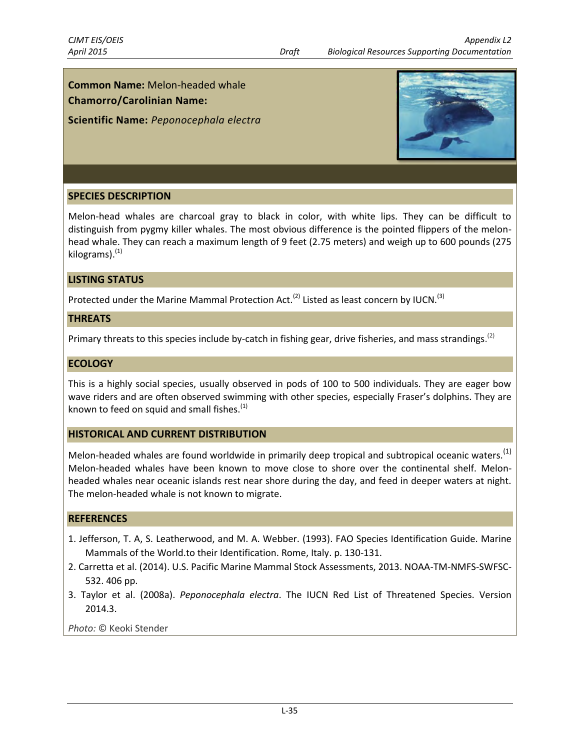# **Common Name:** Melon-headed whale

# **Chamorro/Carolinian Name:**

**Scientific Name:** *Peponocephala electra*



# **SPECIES DESCRIPTION**

Melon-head whales are charcoal gray to black in color, with white lips. They can be difficult to distinguish from pygmy killer whales. The most obvious difference is the pointed flippers of the melonhead whale. They can reach a maximum length of 9 feet (2.75 meters) and weigh up to 600 pounds (275 kilograms). $(1)$ 

### **LISTING STATUS**

Protected under the Marine Mammal Protection Act.<sup>(2)</sup> Listed as least concern by IUCN.<sup>(3)</sup>

#### **THREATS**

Primary threats to this species include by-catch in fishing gear, drive fisheries, and mass strandings.<sup>(2)</sup>

#### **ECOLOGY**

This is a highly social species, usually observed in pods of 100 to 500 individuals. They are eager bow wave riders and are often observed swimming with other species, especially Fraser's dolphins. They are known to feed on squid and small fishes. $<sup>(1)</sup>$ </sup>

#### **HISTORICAL AND CURRENT DISTRIBUTION**

Melon-headed whales are found worldwide in primarily deep tropical and subtropical oceanic waters.<sup>(1)</sup> Melon-headed whales have been known to move close to shore over the continental shelf. Melonheaded whales near oceanic islands rest near shore during the day, and feed in deeper waters at night. The melon-headed whale is not known to migrate.

#### **REFERENCES**

- 1. Jefferson, T. A, S. Leatherwood, and M. A. Webber. (1993). FAO Species Identification Guide. Marine Mammals of the World.to their Identification. Rome, Italy. p. 130-131.
- 2. Carretta et al. (2014). U.S. Pacific Marine Mammal Stock Assessments, 2013. NOAA-TM-NMFS-SWFSC-532. 406 pp.
- 3. Taylor et al. (2008a). *Peponocephala electra*. The IUCN Red List of Threatened Species. Version 2014.3.

*Photo:* © Keoki Stender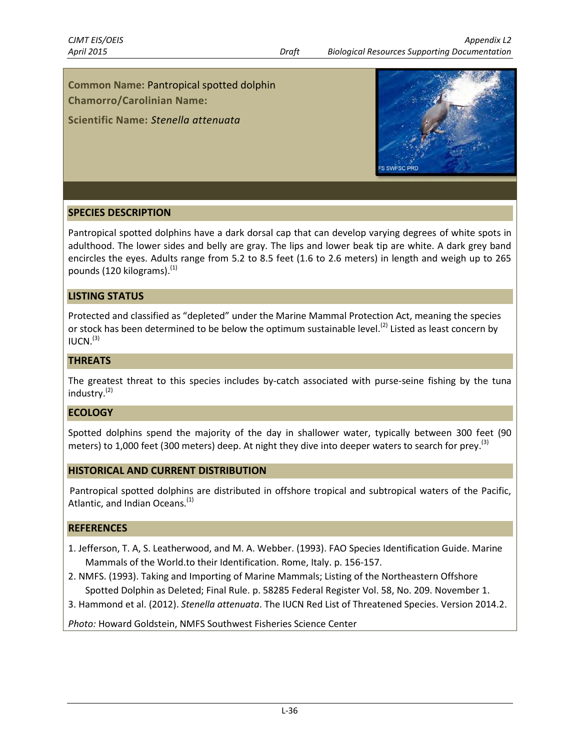**Common Name:** Pantropical spotted dolphin

**Chamorro/Carolinian Name:**

**Scientific Name:** *Stenella attenuata*



# **SPECIES DESCRIPTION**

Pantropical spotted dolphins have a dark dorsal cap that can develop varying degrees of white spots in adulthood. The lower sides and belly are gray. The lips and lower beak tip are white. A dark grey band encircles the eyes. Adults range from 5.2 to 8.5 feet (1.6 to 2.6 meters) in length and weigh up to 265 pounds  $(120 \text{ kilograms}).$ <sup>(1)</sup>

### **LISTING STATUS**

Protected and classified as "depleted" under the Marine Mammal Protection Act, meaning the species or stock has been determined to be below the optimum sustainable level.<sup>(2)</sup> Listed as least concern by  $IUCN.<sup>(3)</sup>$ 

### **THREATS**

The greatest threat to this species includes by-catch associated with purse-seine fishing by the tuna industry. (2)

#### **ECOLOGY**

Spotted dolphins spend the majority of the day in shallower water, typically between 300 feet (90 meters) to 1,000 feet (300 meters) deep. At night they dive into deeper waters to search for prey.<sup>(3)</sup>

#### **HISTORICAL AND CURRENT DISTRIBUTION**

Pantropical spotted dolphins are distributed in offshore tropical and subtropical waters of the Pacific, Atlantic, and Indian Oceans.<sup>(1)</sup>

#### **REFERENCES**

- 1. Jefferson, T. A, S. Leatherwood, and M. A. Webber. (1993). FAO Species Identification Guide. Marine Mammals of the World.to their Identification. Rome, Italy. p. 156-157.
- 2. NMFS. (1993). Taking and Importing of Marine Mammals; Listing of the Northeastern Offshore Spotted Dolphin as Deleted; Final Rule. p. 58285 Federal Register Vol. 58, No. 209. November 1.
- 3. Hammond et al. (2012). *Stenella attenuata*. The IUCN Red List of Threatened Species. Version 2014.2.

*Photo:* Howard Goldstein, NMFS Southwest Fisheries Science Center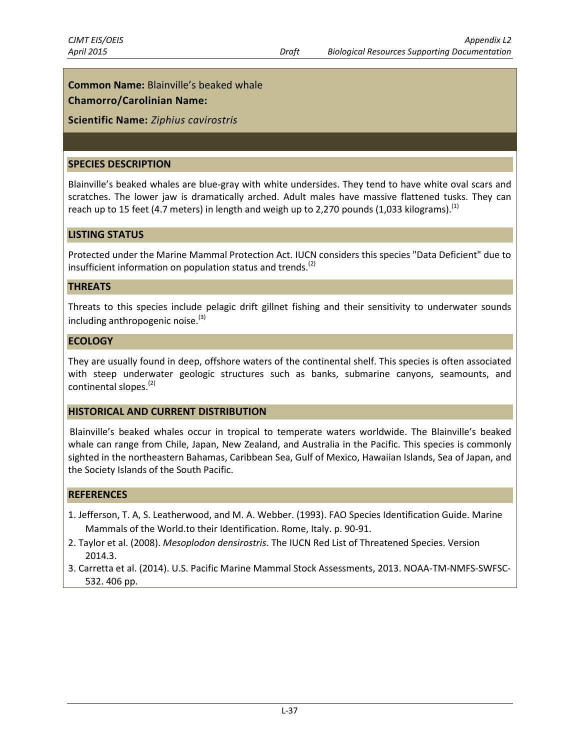**Common Name:** Blainville's beaked whale

# **Chamorro/Carolinian Name:**

# **Scientific Name:** *Ziphius cavirostris*

#### **SPECIES DESCRIPTION**

Blainville's beaked whales are blue-gray with white undersides. They tend to have white oval scars and scratches. The lower jaw is dramatically arched. Adult males have massive flattened tusks. They can reach up to 15 feet (4.7 meters) in length and weigh up to 2,270 pounds (1,033 kilograms).<sup>(1)</sup>

### **LISTING STATUS**

Protected under the Marine Mammal Protection Act. IUCN considers this species "Data Deficient" due to insufficient information on population status and trends.<sup>(2)</sup>

#### **THREATS**

Threats to this species include pelagic drift gillnet fishing and their sensitivity to underwater sounds including anthropogenic noise. $(3)$ 

#### **ECOLOGY**

They are usually found in deep, offshore waters of the continental shelf. This species is often associated with steep underwater geologic structures such as banks, submarine canyons, seamounts, and continental slopes.<sup>(2)</sup>

#### **HISTORICAL AND CURRENT DISTRIBUTION**

Blainville's beaked whales occur in tropical to temperate waters worldwide. The Blainville's beaked whale can range from Chile, Japan, New Zealand, and Australia in the Pacific. This species is commonly sighted in the northeastern Bahamas, Caribbean Sea, Gulf of Mexico, Hawaiian Islands, Sea of Japan, and the Society Islands of the South Pacific.

- 1. Jefferson, T. A, S. Leatherwood, and M. A. Webber. (1993). FAO Species Identification Guide. Marine Mammals of the World.to their Identification. Rome, Italy. p. 90-91.
- 2. Taylor et al. (2008). *Mesoplodon densirostris*. The IUCN Red List of Threatened Species. Version 2014.3.
- 3. Carretta et al. (2014). U.S. Pacific Marine Mammal Stock Assessments, 2013. NOAA-TM-NMFS-SWFSC-532. 406 pp.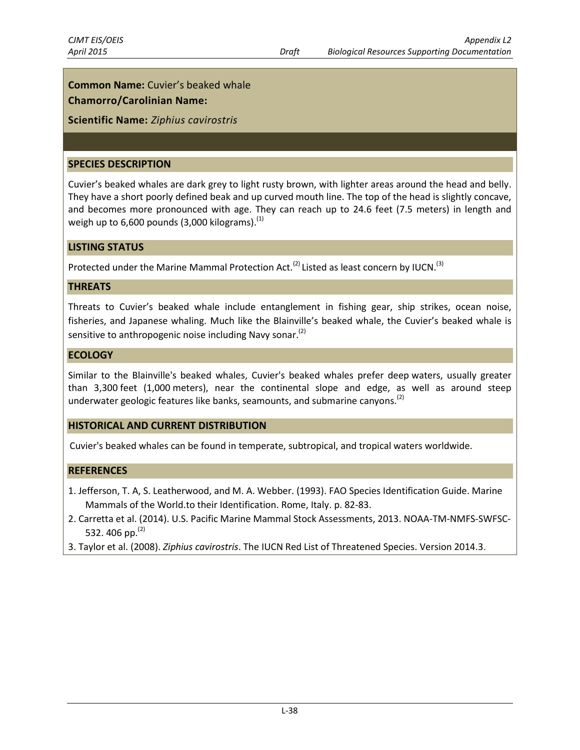**Common Name:** Cuvier's beaked whale **Chamorro/Carolinian Name:**

# **Scientific Name:** *Ziphius cavirostris*

#### **SPECIES DESCRIPTION**

Cuvier's beaked whales are dark grey to light rusty brown, with lighter areas around the head and belly. They have a short poorly defined beak and up curved mouth line. The top of the head is slightly concave, and becomes more pronounced with age. They can reach up to 24.6 feet (7.5 meters) in length and weigh up to  $6,600$  pounds (3,000 kilograms).<sup>(1)</sup>

#### **LISTING STATUS**

Protected under the Marine Mammal Protection Act.<sup>(2)</sup> Listed as least concern by IUCN.<sup>(3)</sup>

#### **THREATS**

Threats to Cuvier's beaked whale include entanglement in fishing gear, ship strikes, ocean noise, fisheries, and Japanese whaling. Much like the Blainville's beaked whale, the Cuvier's beaked whale is sensitive to anthropogenic noise including Navy sonar.<sup>(2)</sup>

#### **ECOLOGY**

Similar to the Blainville's beaked whales, Cuvier's beaked whales prefer deep waters, usually greater than 3,300 feet (1,000 meters), near the continental slope and edge, as well as around steep underwater geologic features like banks, seamounts, and submarine canyons.<sup>(2)</sup>

#### **HISTORICAL AND CURRENT DISTRIBUTION**

Cuvier's beaked whales can be found in temperate, subtropical, and tropical waters worldwide.

- 1. Jefferson, T. A, S. Leatherwood, and M. A. Webber. (1993). FAO Species Identification Guide. Marine Mammals of the World.to their Identification. Rome, Italy. p. 82-83.
- 2. Carretta et al. (2014). U.S. Pacific Marine Mammal Stock Assessments, 2013. NOAA-TM-NMFS-SWFSC-532. 406 pp. $^{(2)}$
- 3. Taylor et al. (2008). *Ziphius cavirostris*. The IUCN Red List of Threatened Species. Version 2014.3.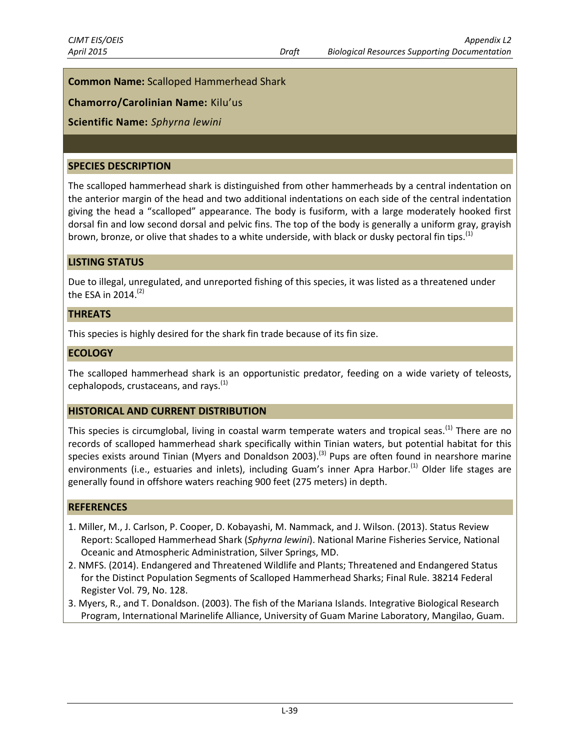# **Common Name:** Scalloped Hammerhead Shark

# **Chamorro/Carolinian Name:** Kilu'us

# **Scientific Name:** *Sphyrna lewini*

#### **SPECIES DESCRIPTION**

The scalloped hammerhead shark is distinguished from other hammerheads by a central indentation on the anterior margin of the head and two additional indentations on each side of the central indentation giving the head a "scalloped" appearance. The body is fusiform, with a large moderately hooked first dorsal fin and low second dorsal and pelvic fins. The top of the body is generally a uniform gray, grayish brown, bronze, or olive that shades to a white underside, with black or dusky pectoral fin tips.<sup>(1)</sup>

### **LISTING STATUS**

Due to illegal, unregulated, and unreported fishing of this species, it was listed as a threatened under the ESA in 2014.<sup>(2)</sup>

#### **THREATS**

This species is highly desired for the shark fin trade because of its fin size.

#### **ECOLOGY**

The scalloped hammerhead shark is an opportunistic predator, feeding on a wide variety of teleosts, cephalopods, crustaceans, and rays. $<sup>(1)</sup>$ </sup>

#### **HISTORICAL AND CURRENT DISTRIBUTION**

This species is circumglobal, living in coastal warm temperate waters and tropical seas.<sup>(1)</sup> There are no records of scalloped hammerhead shark specifically within Tinian waters, but potential habitat for this species exists around Tinian (Myers and Donaldson 2003).<sup>(3)</sup> Pups are often found in nearshore marine environments (i.e., estuaries and inlets), including Guam's inner Apra Harbor.<sup>(1)</sup> Older life stages are generally found in offshore waters reaching 900 feet (275 meters) in depth.

- 1. Miller, M., J. Carlson, P. Cooper, D. Kobayashi, M. Nammack, and J. Wilson. (2013). Status Review Report: Scalloped Hammerhead Shark (*Sphyrna lewini*). National Marine Fisheries Service, National Oceanic and Atmospheric Administration, Silver Springs, MD.
- 2. NMFS. (2014). Endangered and Threatened Wildlife and Plants; Threatened and Endangered Status for the Distinct Population Segments of Scalloped Hammerhead Sharks; Final Rule. 38214 Federal Register Vol. 79, No. 128.
- 3. Myers, R., and T. Donaldson. (2003). The fish of the Mariana Islands. Integrative Biological Research Program, International Marinelife Alliance, University of Guam Marine Laboratory, Mangilao, Guam.